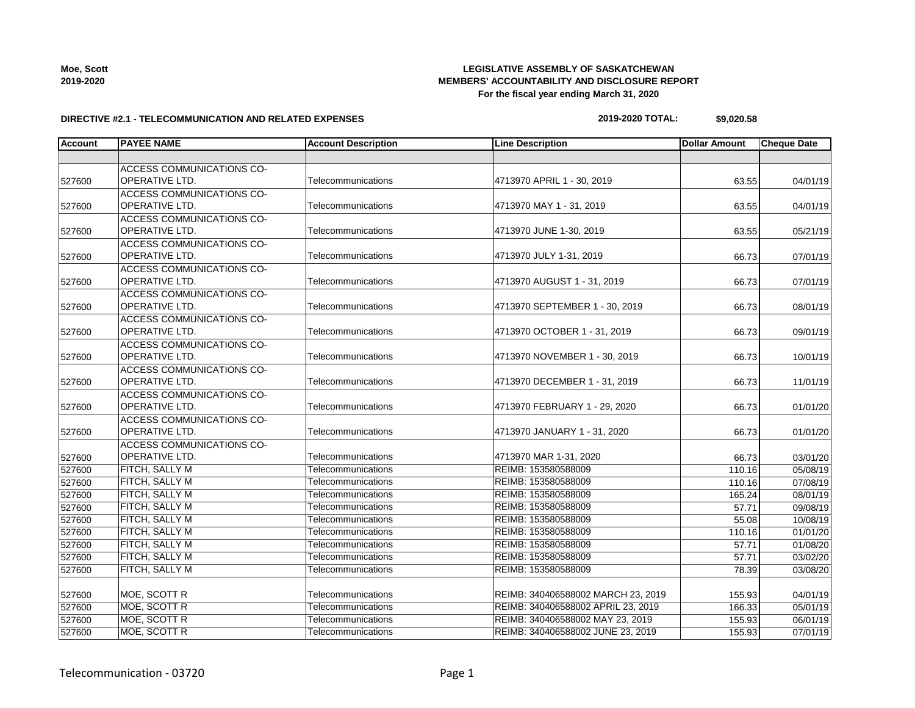| Moe, Scott |  |
|------------|--|
| 2019-2020  |  |

## **LEGISLATIVE ASSEMBLY OF SASKATCHEWAN MEMBERS' ACCOUNTABILITY AND DISCLOSURE REPORT For the fiscal year ending March 31, 2020**

### **DIRECTIVE #2.1 - TELECOMMUNICATION AND RELATED EXPENSES**

**2019-2020 TOTAL: \$9,020.58**

| <b>Account</b> | <b>PAYEE NAME</b>                                         | <b>Account Description</b> | <b>Line Description</b>            | <b>Dollar Amount</b> | <b>Cheque Date</b> |
|----------------|-----------------------------------------------------------|----------------------------|------------------------------------|----------------------|--------------------|
|                |                                                           |                            |                                    |                      |                    |
| 527600         | <b>ACCESS COMMUNICATIONS CO-</b><br>OPERATIVE LTD.        | Telecommunications         | 4713970 APRIL 1 - 30, 2019         | 63.55                | 04/01/19           |
| 527600         | <b>ACCESS COMMUNICATIONS CO-</b><br>OPERATIVE LTD.        | Telecommunications         | 4713970 MAY 1 - 31, 2019           | 63.55                | 04/01/19           |
| 527600         | <b>ACCESS COMMUNICATIONS CO-</b><br>OPERATIVE LTD.        | Telecommunications         | 4713970 JUNE 1-30, 2019            | 63.55                | 05/21/19           |
| 527600         | <b>ACCESS COMMUNICATIONS CO-</b><br>OPERATIVE LTD.        | Telecommunications         | 4713970 JULY 1-31, 2019            | 66.73                | 07/01/19           |
| 527600         | ACCESS COMMUNICATIONS CO-<br>OPERATIVE LTD.               | Telecommunications         | 4713970 AUGUST 1 - 31, 2019        | 66.73                | 07/01/19           |
| 527600         | ACCESS COMMUNICATIONS CO-<br>OPERATIVE LTD.               | Telecommunications         | 4713970 SEPTEMBER 1 - 30, 2019     | 66.73                | 08/01/19           |
| 527600         | ACCESS COMMUNICATIONS CO-<br>OPERATIVE LTD.               | Telecommunications         | 4713970 OCTOBER 1 - 31, 2019       | 66.73                | 09/01/19           |
| 527600         | ACCESS COMMUNICATIONS CO-<br><b>OPERATIVE LTD.</b>        | Telecommunications         | 4713970 NOVEMBER 1 - 30, 2019      | 66.73                | 10/01/19           |
| 527600         | ACCESS COMMUNICATIONS CO-<br>OPERATIVE LTD.               | Telecommunications         | 4713970 DECEMBER 1 - 31, 2019      | 66.73                | 11/01/19           |
| 527600         | <b>ACCESS COMMUNICATIONS CO-</b><br><b>OPERATIVE LTD.</b> | Telecommunications         | 4713970 FEBRUARY 1 - 29, 2020      | 66.73                | 01/01/20           |
| 527600         | <b>ACCESS COMMUNICATIONS CO-</b><br>OPERATIVE LTD.        | Telecommunications         | 4713970 JANUARY 1 - 31, 2020       | 66.73                | 01/01/20           |
| 527600         | ACCESS COMMUNICATIONS CO-<br>OPERATIVE LTD.               | Telecommunications         | 4713970 MAR 1-31, 2020             | 66.73                | 03/01/20           |
| 527600         | <b>FITCH, SALLY M</b>                                     | Telecommunications         | REIMB: 153580588009                | 110.16               | 05/08/19           |
| 527600         | <b>FITCH, SALLY M</b>                                     | Telecommunications         | REIMB: 153580588009                | 110.16               | 07/08/19           |
| 527600         | FITCH, SALLY M                                            | Telecommunications         | REIMB: 153580588009                | 165.24               | 08/01/19           |
| 527600         | <b>FITCH, SALLY M</b>                                     | Telecommunications         | REIMB: 153580588009                | 57.71                | 09/08/19           |
| 527600         | FITCH, SALLY M                                            | Telecommunications         | REIMB: 153580588009                | 55.08                | 10/08/19           |
| 527600         | <b>FITCH, SALLY M</b>                                     | Telecommunications         | REIMB: 153580588009                | 110.16               | 01/01/20           |
| 527600         | <b>FITCH, SALLY M</b>                                     | Telecommunications         | REIMB: 153580588009                | 57.71                | 01/08/20           |
| 527600         | <b>FITCH, SALLY M</b>                                     | Telecommunications         | REIMB: 153580588009                | 57.71                | 03/02/20           |
| 527600         | FITCH, SALLY M                                            | Telecommunications         | REIMB: 153580588009                | 78.39                | 03/08/20           |
| 527600         | MOE, SCOTT R                                              | Telecommunications         | REIMB: 340406588002 MARCH 23, 2019 | 155.93               | 04/01/19           |
| 527600         | MOE, SCOTT R                                              | Telecommunications         | REIMB: 340406588002 APRIL 23, 2019 | 166.33               | 05/01/19           |
| 527600         | MOE, SCOTT R                                              | Telecommunications         | REIMB: 340406588002 MAY 23, 2019   | 155.93               | 06/01/19           |
| 527600         | <b>MOE, SCOTT R</b>                                       | Telecommunications         | REIMB: 340406588002 JUNE 23, 2019  | 155.93               | 07/01/19           |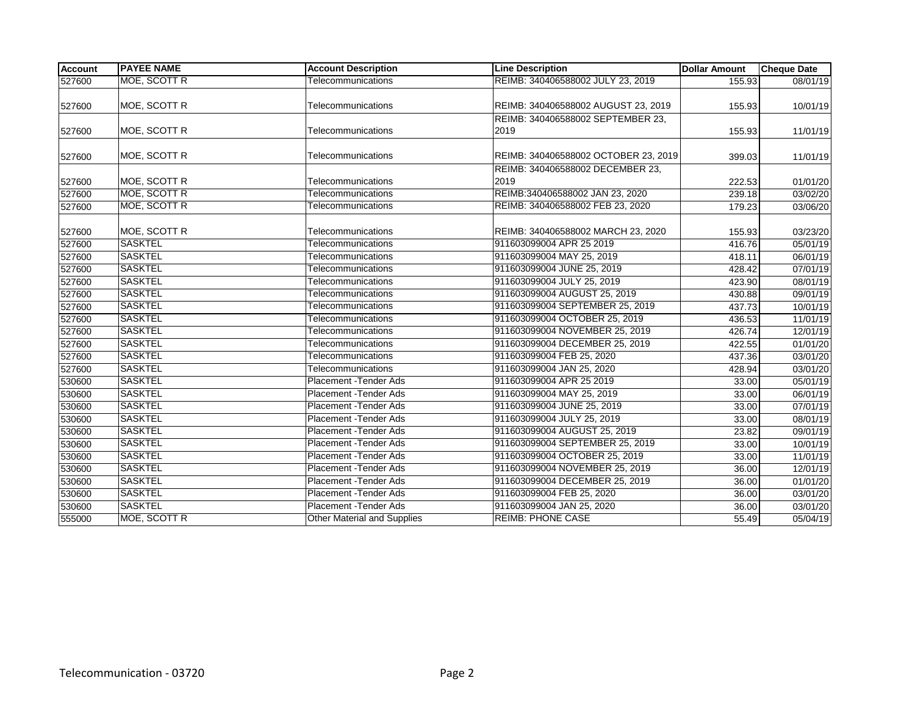| <b>Account</b> | <b>PAYEE NAME</b> | <b>Account Description</b>         | <b>Line Description</b>              | <b>Dollar Amount</b> | <b>Cheque Date</b>    |
|----------------|-------------------|------------------------------------|--------------------------------------|----------------------|-----------------------|
| 527600         | MOE, SCOTT R      | Telecommunications                 | REIMB: 340406588002 JULY 23, 2019    | 155.93               | 08/01/19              |
|                |                   |                                    |                                      |                      |                       |
| 527600         | MOE, SCOTT R      | Telecommunications                 | REIMB: 340406588002 AUGUST 23, 2019  | 155.93               | 10/01/19              |
|                |                   |                                    | REIMB: 340406588002 SEPTEMBER 23,    |                      |                       |
| 527600         | MOE, SCOTT R      | Telecommunications                 | 2019                                 | 155.93               | 11/01/19              |
|                |                   |                                    |                                      |                      |                       |
| 527600         | MOE, SCOTT R      | Telecommunications                 | REIMB: 340406588002 OCTOBER 23, 2019 | 399.03               | 11/01/19              |
|                |                   |                                    | REIMB: 340406588002 DECEMBER 23,     |                      |                       |
| 527600         | MOE, SCOTT R      | Telecommunications                 | 2019                                 | 222.53               | 01/01/20              |
| 527600         | MOE, SCOTT R      | Telecommunications                 | REIMB:340406588002 JAN 23, 2020      | 239.18               | 03/02/20              |
| 527600         | MOE, SCOTT R      | Telecommunications                 | REIMB: 340406588002 FEB 23, 2020     | 179.23               | 03/06/20              |
|                |                   |                                    |                                      |                      |                       |
| 527600         | MOE, SCOTT R      | Telecommunications                 | REIMB: 340406588002 MARCH 23, 2020   | 155.93               | 03/23/20              |
| 527600         | <b>SASKTEL</b>    | Telecommunications                 | 911603099004 APR 25 2019             | 416.76               | $\overline{05/01/19}$ |
| 527600         | <b>SASKTEL</b>    | Telecommunications                 | 911603099004 MAY 25, 2019            | 418.11               | 06/01/19              |
| 527600         | <b>SASKTEL</b>    | Telecommunications                 | 911603099004 JUNE 25, 2019           | 428.42               | $\overline{07/01/19}$ |
| 527600         | <b>SASKTEL</b>    | Telecommunications                 | 911603099004 JULY 25, 2019           | 423.90               | 08/01/19              |
| 527600         | <b>SASKTEL</b>    | Telecommunications                 | 911603099004 AUGUST 25, 2019         | 430.88               | 09/01/19              |
| 527600         | <b>SASKTEL</b>    | Telecommunications                 | 911603099004 SEPTEMBER 25, 2019      | 437.73               | 10/01/19              |
| 527600         | <b>SASKTEL</b>    | Telecommunications                 | 911603099004 OCTOBER 25, 2019        | 436.53               | 11/01/19              |
| 527600         | <b>SASKTEL</b>    | Telecommunications                 | 911603099004 NOVEMBER 25, 2019       | 426.74               | 12/01/19              |
| 527600         | <b>SASKTEL</b>    | Telecommunications                 | 911603099004 DECEMBER 25, 2019       | 422.55               | 01/01/20              |
| 527600         | <b>SASKTEL</b>    | Telecommunications                 | 911603099004 FEB 25, 2020            | 437.36               | 03/01/20              |
| 527600         | <b>SASKTEL</b>    | Telecommunications                 | 911603099004 JAN 25, 2020            | 428.94               | 03/01/20              |
| 530600         | <b>SASKTEL</b>    | Placement - Tender Ads             | 911603099004 APR 25 2019             | 33.00                | 05/01/19              |
| 530600         | <b>SASKTEL</b>    | Placement - Tender Ads             | 911603099004 MAY 25, 2019            | 33.00                | 06/01/19              |
| 530600         | <b>SASKTEL</b>    | Placement - Tender Ads             | 911603099004 JUNE 25, 2019           | 33.00                | 07/01/19              |
| 530600         | <b>SASKTEL</b>    | Placement - Tender Ads             | 911603099004 JULY 25, 2019           | 33.00                | 08/01/19              |
| 530600         | <b>SASKTEL</b>    | Placement - Tender Ads             | 911603099004 AUGUST 25, 2019         | 23.82                | 09/01/19              |
| 530600         | <b>SASKTEL</b>    | Placement - Tender Ads             | 911603099004 SEPTEMBER 25, 2019      | 33.00                | 10/01/19              |
| 530600         | <b>SASKTEL</b>    | Placement - Tender Ads             | 911603099004 OCTOBER 25, 2019        | 33.00                | 11/01/19              |
| 530600         | <b>SASKTEL</b>    | Placement - Tender Ads             | 911603099004 NOVEMBER 25, 2019       | 36.00                | 12/01/19              |
| 530600         | <b>SASKTEL</b>    | Placement - Tender Ads             | 911603099004 DECEMBER 25, 2019       | 36.00                | 01/01/20              |
| 530600         | <b>SASKTEL</b>    | Placement - Tender Ads             | 911603099004 FEB 25, 2020            | 36.00                | 03/01/20              |
| 530600         | <b>SASKTEL</b>    | Placement - Tender Ads             | 911603099004 JAN 25, 2020            | 36.00                | 03/01/20              |
| 555000         | MOE, SCOTT R      | <b>Other Material and Supplies</b> | <b>REIMB: PHONE CASE</b>             | 55.49                | 05/04/19              |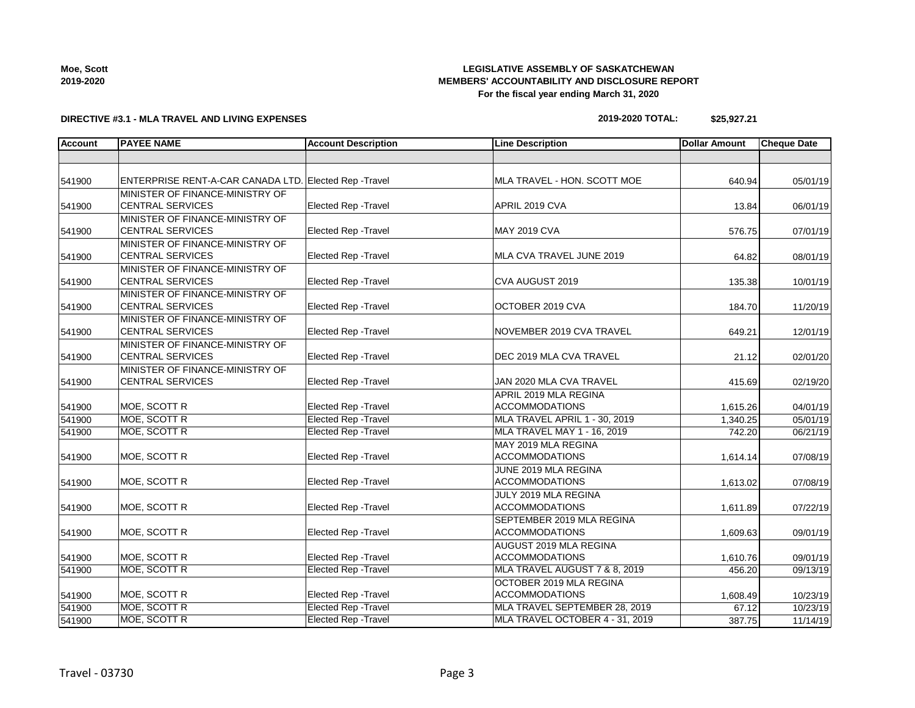**2019-2020**

## **LEGISLATIVE ASSEMBLY OF SASKATCHEWAN MEMBERS' ACCOUNTABILITY AND DISCLOSURE REPORT For the fiscal year ending March 31, 2020**

# **DIRECTIVE #3.1 - MLA TRAVEL AND LIVING EXPENSES**

# $2019 - 2020$  TO

| TAL: | \$25,927.21 |
|------|-------------|
|      |             |

| <b>Account</b> | <b>PAYEE NAME</b>                                          | <b>Account Description</b>  | <b>Line Description</b>                            | <b>Dollar Amount</b> | <b>Cheque Date</b> |
|----------------|------------------------------------------------------------|-----------------------------|----------------------------------------------------|----------------------|--------------------|
|                |                                                            |                             |                                                    |                      |                    |
| 541900         | ENTERPRISE RENT-A-CAR CANADA LTD. Elected Rep -Travel      |                             | MLA TRAVEL - HON. SCOTT MOE                        | 640.94               | 05/01/19           |
| 541900         | MINISTER OF FINANCE-MINISTRY OF<br><b>CENTRAL SERVICES</b> | <b>Elected Rep - Travel</b> | APRIL 2019 CVA                                     | 13.84                | 06/01/19           |
| 541900         | MINISTER OF FINANCE-MINISTRY OF<br><b>CENTRAL SERVICES</b> | <b>Elected Rep - Travel</b> | <b>MAY 2019 CVA</b>                                | 576.75               | 07/01/19           |
| 541900         | MINISTER OF FINANCE-MINISTRY OF<br><b>CENTRAL SERVICES</b> | Elected Rep - Travel        | MLA CVA TRAVEL JUNE 2019                           | 64.82                | 08/01/19           |
| 541900         | MINISTER OF FINANCE-MINISTRY OF<br><b>CENTRAL SERVICES</b> | <b>Elected Rep - Travel</b> | CVA AUGUST 2019                                    | 135.38               | 10/01/19           |
| 541900         | MINISTER OF FINANCE-MINISTRY OF<br><b>CENTRAL SERVICES</b> | <b>Elected Rep - Travel</b> | OCTOBER 2019 CVA                                   | 184.70               | 11/20/19           |
| 541900         | MINISTER OF FINANCE-MINISTRY OF<br><b>CENTRAL SERVICES</b> | Elected Rep - Travel        | NOVEMBER 2019 CVA TRAVEL                           | 649.21               | 12/01/19           |
| 541900         | MINISTER OF FINANCE-MINISTRY OF<br><b>CENTRAL SERVICES</b> | <b>Elected Rep - Travel</b> | DEC 2019 MLA CVA TRAVEL                            | 21.12                | 02/01/20           |
| 541900         | MINISTER OF FINANCE-MINISTRY OF<br><b>CENTRAL SERVICES</b> | Elected Rep - Travel        | JAN 2020 MLA CVA TRAVEL                            | 415.69               | 02/19/20           |
| 541900         | MOE, SCOTT R                                               | Elected Rep - Travel        | APRIL 2019 MLA REGINA<br><b>ACCOMMODATIONS</b>     | 1,615.26             | 04/01/19           |
| 541900         | <b>MOE, SCOTT R</b>                                        | Elected Rep - Travel        | MLA TRAVEL APRIL 1 - 30, 2019                      | 1,340.25             | 05/01/19           |
| 541900         | MOE, SCOTT R                                               | <b>Elected Rep - Travel</b> | MLA TRAVEL MAY 1 - 16, 2019                        | 742.20               | 06/21/19           |
| 541900         | MOE, SCOTT R                                               | Elected Rep - Travel        | MAY 2019 MLA REGINA<br><b>ACCOMMODATIONS</b>       | 1,614.14             | 07/08/19           |
| 541900         | MOE, SCOTT R                                               | <b>Elected Rep - Travel</b> | JUNE 2019 MLA REGINA<br><b>ACCOMMODATIONS</b>      | 1,613.02             | 07/08/19           |
| 541900         | MOE, SCOTT R                                               | Elected Rep - Travel        | JULY 2019 MLA REGINA<br><b>ACCOMMODATIONS</b>      | 1,611.89             | 07/22/19           |
| 541900         | MOE, SCOTT R                                               | Elected Rep - Travel        | SEPTEMBER 2019 MLA REGINA<br><b>ACCOMMODATIONS</b> | 1,609.63             | 09/01/19           |
| 541900         | MOE, SCOTT R                                               | Elected Rep - Travel        | AUGUST 2019 MLA REGINA<br><b>ACCOMMODATIONS</b>    | 1,610.76             | 09/01/19           |
| 541900         | MOE, SCOTT R                                               | <b>Elected Rep - Travel</b> | MLA TRAVEL AUGUST 7 & 8, 2019                      | 456.20               | 09/13/19           |
| 541900         | MOE, SCOTT R                                               | Elected Rep - Travel        | OCTOBER 2019 MLA REGINA<br><b>ACCOMMODATIONS</b>   | 1,608.49             | 10/23/19           |
| 541900         | MOE, SCOTT R                                               | <b>Elected Rep - Travel</b> | MLA TRAVEL SEPTEMBER 28, 2019                      | 67.12                | 10/23/19           |
| 541900         | <b>MOE, SCOTT R</b>                                        | <b>Elected Rep - Travel</b> | MLA TRAVEL OCTOBER 4 - 31, 2019                    | 387.75               | 11/14/19           |

**Moe, Scott**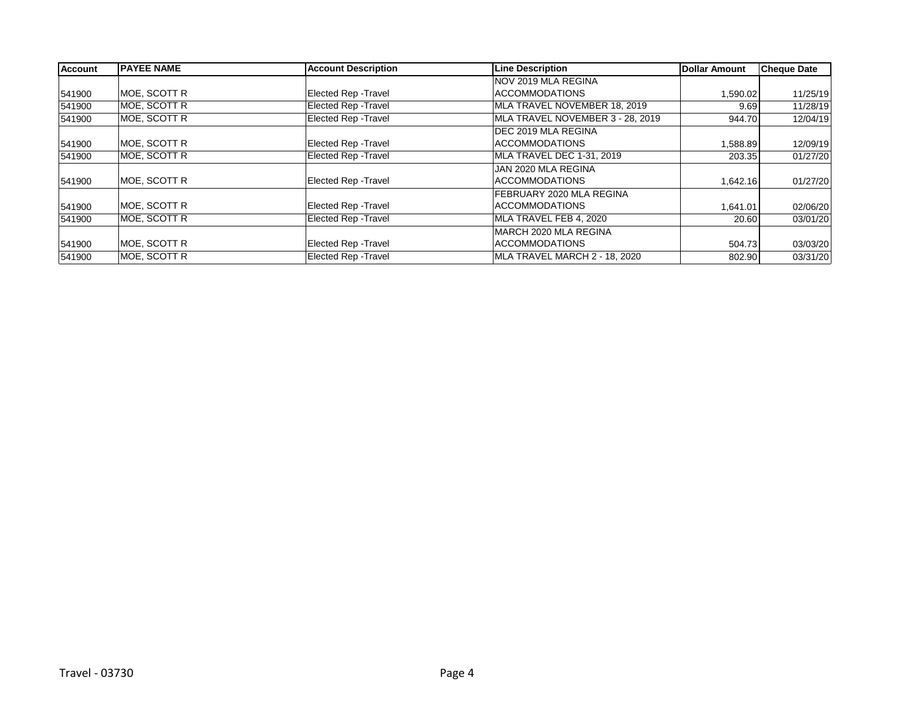| <b>Account</b> | <b>PAYEE NAME</b> | <b>Account Description</b>  | <b>Line Description</b>          | Dollar Amount | Cheque Date |
|----------------|-------------------|-----------------------------|----------------------------------|---------------|-------------|
|                |                   |                             | NOV 2019 MLA REGINA              |               |             |
| 541900         | MOE, SCOTT R      | <b>Elected Rep - Travel</b> | <b>ACCOMMODATIONS</b>            | 1,590.02      | 11/25/19    |
| 541900         | MOE, SCOTT R      | Elected Rep - Travel        | MLA TRAVEL NOVEMBER 18, 2019     | 9.69          | 11/28/19    |
| 541900         | MOE, SCOTT R      | <b>Elected Rep - Travel</b> | MLA TRAVEL NOVEMBER 3 - 28, 2019 | 944.70        | 12/04/19    |
|                |                   |                             | <b>IDEC 2019 MLA REGINA</b>      |               |             |
| 541900         | MOE, SCOTT R      | <b>Elected Rep - Travel</b> | <b>ACCOMMODATIONS</b>            | 1,588.89      | 12/09/19    |
| 541900         | MOE, SCOTT R      | Elected Rep - Travel        | MLA TRAVEL DEC 1-31, 2019        | 203.35        | 01/27/20    |
|                |                   |                             | JAN 2020 MLA REGINA              |               |             |
| 541900         | MOE, SCOTT R      | <b>Elected Rep - Travel</b> | <b>ACCOMMODATIONS</b>            | 1,642.16      | 01/27/20    |
|                |                   |                             | FEBRUARY 2020 MLA REGINA         |               |             |
| 541900         | MOE, SCOTT R      | <b>Elected Rep - Travel</b> | <b>ACCOMMODATIONS</b>            | 1,641.01      | 02/06/20    |
| 541900         | MOE, SCOTT R      | <b>Elected Rep - Travel</b> | MLA TRAVEL FEB 4, 2020           | 20.60         | 03/01/20    |
|                |                   |                             | MARCH 2020 MLA REGINA            |               |             |
| 541900         | MOE, SCOTT R      | <b>Elected Rep - Travel</b> | <b>ACCOMMODATIONS</b>            | 504.73        | 03/03/20    |
| 541900         | MOE, SCOTT R      | <b>Elected Rep - Travel</b> | MLA TRAVEL MARCH 2 - 18, 2020    | 802.90        | 03/31/20    |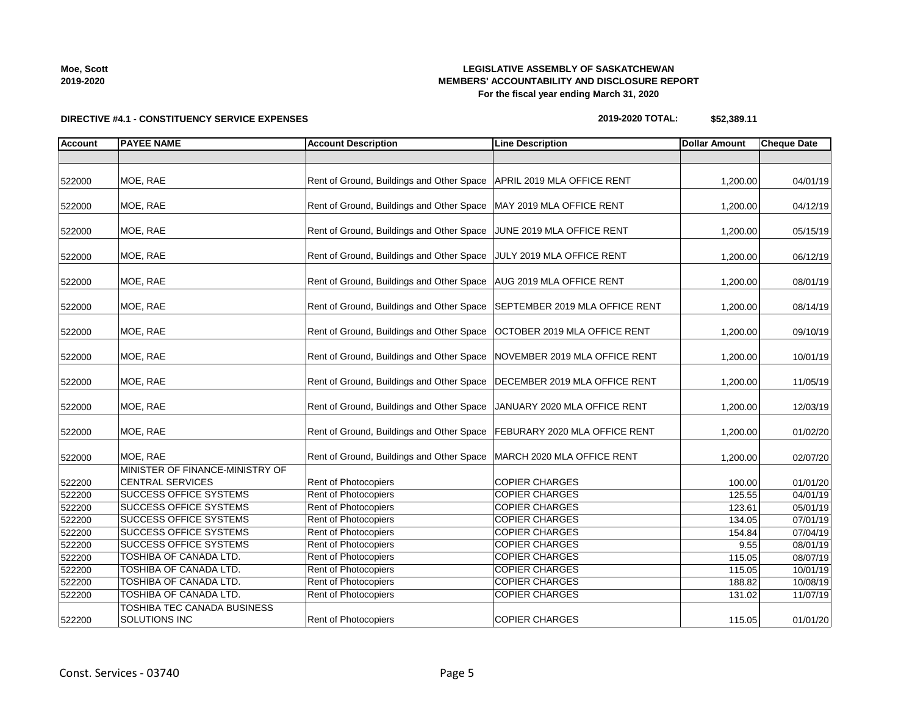**2019-2020**

## **LEGISLATIVE ASSEMBLY OF SASKATCHEWAN MEMBERS' ACCOUNTABILITY AND DISCLOSURE REPORT For the fiscal year ending March 31, 2020**

# **DIRECTIVE #4.1 - CONSTITUENCY SERVICE EXPENSES**

| \$52,389.11 |
|-------------|
|             |

| <b>Account</b> | <b>PAYEE NAME</b>                                          | <b>Account Description</b>                                                | <b>Line Description</b>               | <b>Dollar Amount</b> | <b>Cheque Date</b> |
|----------------|------------------------------------------------------------|---------------------------------------------------------------------------|---------------------------------------|----------------------|--------------------|
|                |                                                            |                                                                           |                                       |                      |                    |
| 522000         | MOE, RAE                                                   | Rent of Ground, Buildings and Other Space                                 | APRIL 2019 MLA OFFICE RENT            | 1,200.00             | 04/01/19           |
| 522000         | MOE, RAE                                                   | Rent of Ground, Buildings and Other Space   MAY 2019 MLA OFFICE RENT      |                                       | 1,200.00             | 04/12/19           |
| 522000         | MOE, RAE                                                   | Rent of Ground, Buildings and Other Space JUNE 2019 MLA OFFICE RENT       |                                       | 1,200.00             | 05/15/19           |
| 522000         | MOE, RAE                                                   | Rent of Ground, Buildings and Other Space JULY 2019 MLA OFFICE RENT       |                                       | 1,200.00             | 06/12/19           |
| 522000         | MOE, RAE                                                   | Rent of Ground, Buildings and Other Space   AUG 2019 MLA OFFICE RENT      |                                       | 1,200.00             | 08/01/19           |
| 522000         | MOE, RAE                                                   | Rent of Ground, Buildings and Other Space                                 | <b>SEPTEMBER 2019 MLA OFFICE RENT</b> | 1,200.00             | 08/14/19           |
| 522000         | MOE, RAE                                                   | Rent of Ground, Buildings and Other Space                                 | OCTOBER 2019 MLA OFFICE RENT          | 1,200.00             | 09/10/19           |
| 522000         | MOE, RAE                                                   | Rent of Ground, Buildings and Other Space                                 | NOVEMBER 2019 MLA OFFICE RENT         | 1,200.00             | 10/01/19           |
| 522000         | MOE, RAE                                                   | Rent of Ground, Buildings and Other Space   DECEMBER 2019 MLA OFFICE RENT |                                       | 1,200.00             | 11/05/19           |
| 522000         | MOE, RAE                                                   | Rent of Ground, Buildings and Other Space   JANUARY 2020 MLA OFFICE RENT  |                                       | 1,200.00             | 12/03/19           |
| 522000         | MOE, RAE                                                   | Rent of Ground, Buildings and Other Space   FEBURARY 2020 MLA OFFICE RENT |                                       | 1,200.00             | 01/02/20           |
| 522000         | MOE, RAE                                                   | Rent of Ground, Buildings and Other Space                                 | MARCH 2020 MLA OFFICE RENT            | 1,200.00             | 02/07/20           |
| 522200         | MINISTER OF FINANCE-MINISTRY OF<br><b>CENTRAL SERVICES</b> | <b>Rent of Photocopiers</b>                                               | <b>COPIER CHARGES</b>                 | 100.00               | 01/01/20           |
| 522200         | <b>SUCCESS OFFICE SYSTEMS</b>                              | Rent of Photocopiers                                                      | <b>COPIER CHARGES</b>                 | 125.55               | 04/01/19           |
| 522200         | <b>SUCCESS OFFICE SYSTEMS</b>                              | Rent of Photocopiers                                                      | <b>COPIER CHARGES</b>                 | 123.61               | 05/01/19           |
| 522200         | <b>SUCCESS OFFICE SYSTEMS</b>                              | <b>Rent of Photocopiers</b>                                               | <b>COPIER CHARGES</b>                 | 134.05               | 07/01/19           |
| 522200         | <b>SUCCESS OFFICE SYSTEMS</b>                              | <b>Rent of Photocopiers</b>                                               | COPIER CHARGES                        | 154.84               | 07/04/19           |
| 522200         | <b>SUCCESS OFFICE SYSTEMS</b>                              | Rent of Photocopiers                                                      | <b>COPIER CHARGES</b>                 | 9.55                 | 08/01/19           |
| 522200         | <b>TOSHIBA OF CANADA LTD.</b>                              | Rent of Photocopiers                                                      | <b>COPIER CHARGES</b>                 | 115.05               | 08/07/19           |
| 522200         | <b>TOSHIBA OF CANADA LTD.</b>                              | Rent of Photocopiers                                                      | <b>COPIER CHARGES</b>                 | 115.05               | 10/01/19           |
| 522200         | TOSHIBA OF CANADA LTD.                                     | Rent of Photocopiers                                                      | <b>COPIER CHARGES</b>                 | 188.82               | 10/08/19           |
| 522200         | TOSHIBA OF CANADA LTD.                                     | Rent of Photocopiers                                                      | <b>COPIER CHARGES</b>                 | 131.02               | 11/07/19           |
| 522200         | TOSHIBA TEC CANADA BUSINESS<br>SOLUTIONS INC               | Rent of Photocopiers                                                      | <b>COPIER CHARGES</b>                 | 115.05               | 01/01/20           |

**Moe, Scott**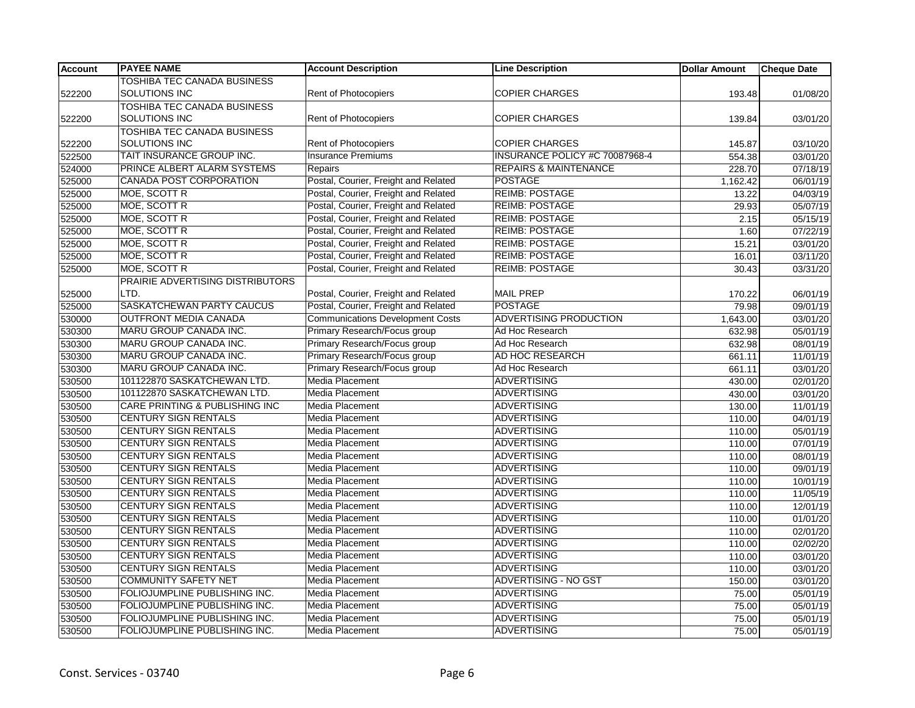| <b>Account</b> | <b>PAYEE NAME</b>                  | <b>Account Description</b>              | <b>Line Description</b>          | <b>Dollar Amount</b> | <b>Cheque Date</b> |
|----------------|------------------------------------|-----------------------------------------|----------------------------------|----------------------|--------------------|
|                | <b>TOSHIBA TEC CANADA BUSINESS</b> |                                         |                                  |                      |                    |
| 522200         | SOLUTIONS INC                      | Rent of Photocopiers                    | <b>COPIER CHARGES</b>            | 193.48               | 01/08/20           |
|                | <b>TOSHIBA TEC CANADA BUSINESS</b> |                                         |                                  |                      |                    |
| 522200         | SOLUTIONS INC                      | Rent of Photocopiers                    | <b>COPIER CHARGES</b>            | 139.84               | 03/01/20           |
|                | <b>TOSHIBA TEC CANADA BUSINESS</b> |                                         |                                  |                      |                    |
| 522200         | SOLUTIONS INC                      | Rent of Photocopiers                    | <b>COPIER CHARGES</b>            | 145.87               | 03/10/20           |
| 522500         | TAIT INSURANCE GROUP INC.          | <b>Insurance Premiums</b>               | INSURANCE POLICY #C 70087968-4   | 554.38               | 03/01/20           |
| 524000         | <b>PRINCE ALBERT ALARM SYSTEMS</b> | Repairs                                 | <b>REPAIRS &amp; MAINTENANCE</b> | 228.70               | 07/18/19           |
| 525000         | <b>CANADA POST CORPORATION</b>     | Postal, Courier, Freight and Related    | <b>POSTAGE</b>                   | 1,162.42             | 06/01/19           |
| 525000         | MOE, SCOTT R                       | Postal, Courier, Freight and Related    | <b>REIMB: POSTAGE</b>            | 13.22                | 04/03/19           |
| 525000         | MOE, SCOTT R                       | Postal, Courier, Freight and Related    | <b>REIMB: POSTAGE</b>            | 29.93                | 05/07/19           |
| 525000         | MOE, SCOTT R                       | Postal, Courier, Freight and Related    | <b>REIMB: POSTAGE</b>            | 2.15                 | 05/15/19           |
| 525000         | MOE, SCOTT R                       | Postal, Courier, Freight and Related    | <b>REIMB: POSTAGE</b>            | 1.60                 | 07/22/19           |
| 525000         | MOE, SCOTT R                       | Postal, Courier, Freight and Related    | <b>REIMB: POSTAGE</b>            | 15.21                | 03/01/20           |
| 525000         | MOE, SCOTT R                       | Postal, Courier, Freight and Related    | <b>REIMB: POSTAGE</b>            | 16.01                | 03/11/20           |
| 525000         | <b>MOE, SCOTT R</b>                | Postal, Courier, Freight and Related    | <b>REIMB: POSTAGE</b>            | 30.43                | 03/31/20           |
|                | PRAIRIE ADVERTISING DISTRIBUTORS   |                                         |                                  |                      |                    |
| 525000         | LTD.                               | Postal, Courier, Freight and Related    | <b>MAIL PREP</b>                 | 170.22               | 06/01/19           |
| 525000         | SASKATCHEWAN PARTY CAUCUS          | Postal, Courier, Freight and Related    | <b>POSTAGE</b>                   | 79.98                | 09/01/19           |
| 530000         | <b>OUTFRONT MEDIA CANADA</b>       | <b>Communications Development Costs</b> | <b>ADVERTISING PRODUCTION</b>    | 1,643.00             | 03/01/20           |
| 530300         | MARU GROUP CANADA INC.             | Primary Research/Focus group            | Ad Hoc Research                  | 632.98               | 05/01/19           |
| 530300         | MARU GROUP CANADA INC.             | Primary Research/Focus group            | Ad Hoc Research                  | 632.98               | 08/01/19           |
| 530300         | MARU GROUP CANADA INC.             | Primary Research/Focus group            | AD HOC RESEARCH                  | 661.11               | 11/01/19           |
| 530300         | MARU GROUP CANADA INC.             | Primary Research/Focus group            | Ad Hoc Research                  | 661.11               | 03/01/20           |
| 530500         | 101122870 SASKATCHEWAN LTD.        | <b>Media Placement</b>                  | <b>ADVERTISING</b>               | 430.00               | 02/01/20           |
| 530500         | 101122870 SASKATCHEWAN LTD.        | <b>Media Placement</b>                  | <b>ADVERTISING</b>               | 430.00               | 03/01/20           |
| 530500         | CARE PRINTING & PUBLISHING INC     | <b>Media Placement</b>                  | <b>ADVERTISING</b>               | 130.00               | 11/01/19           |
| 530500         | <b>CENTURY SIGN RENTALS</b>        | <b>Media Placement</b>                  | <b>ADVERTISING</b>               | 110.00               | 04/01/19           |
| 530500         | <b>CENTURY SIGN RENTALS</b>        | <b>Media Placement</b>                  | <b>ADVERTISING</b>               | 110.00               | 05/01/19           |
| 530500         | <b>CENTURY SIGN RENTALS</b>        | <b>Media Placement</b>                  | <b>ADVERTISING</b>               | 110.00               | 07/01/19           |
| 530500         | <b>CENTURY SIGN RENTALS</b>        | Media Placement                         | <b>ADVERTISING</b>               | 110.00               | 08/01/19           |
| 530500         | CENTURY SIGN RENTALS               | Media Placement                         | <b>ADVERTISING</b>               | 110.00               | 09/01/19           |
| 530500         | <b>CENTURY SIGN RENTALS</b>        | Media Placement                         | <b>ADVERTISING</b>               | 110.00               | 10/01/19           |
| 530500         | CENTURY SIGN RENTALS               | Media Placement                         | <b>ADVERTISING</b>               | 110.00               | 11/05/19           |
| 530500         | <b>CENTURY SIGN RENTALS</b>        | <b>Media Placement</b>                  | <b>ADVERTISING</b>               | 110.00               | 12/01/19           |
| 530500         | <b>CENTURY SIGN RENTALS</b>        | Media Placement                         | <b>ADVERTISING</b>               | 110.00               | 01/01/20           |
| 530500         | <b>CENTURY SIGN RENTALS</b>        | <b>Media Placement</b>                  | <b>ADVERTISING</b>               | 110.00               | 02/01/20           |
| 530500         | CENTURY SIGN RENTALS               | <b>Media Placement</b>                  | <b>ADVERTISING</b>               | 110.00               | 02/02/20           |
| 530500         | <b>CENTURY SIGN RENTALS</b>        | <b>Media Placement</b>                  | <b>ADVERTISING</b>               | 110.00               | 03/01/20           |
| 530500         | <b>CENTURY SIGN RENTALS</b>        | <b>Media Placement</b>                  | <b>ADVERTISING</b>               | 110.00               | 03/01/20           |
| 530500         | <b>COMMUNITY SAFETY NET</b>        | Media Placement                         | ADVERTISING - NO GST             | 150.00               | 03/01/20           |
| 530500         | FOLIOJUMPLINE PUBLISHING INC.      | <b>Media Placement</b>                  | <b>ADVERTISING</b>               | 75.00                | 05/01/19           |
| 530500         | FOLIOJUMPLINE PUBLISHING INC.      | Media Placement                         | <b>ADVERTISING</b>               | 75.00                | 05/01/19           |
| 530500         | FOLIOJUMPLINE PUBLISHING INC.      | Media Placement                         | <b>ADVERTISING</b>               | 75.00                | 05/01/19           |
| 530500         | FOLIOJUMPLINE PUBLISHING INC.      | <b>Media Placement</b>                  | <b>ADVERTISING</b>               | 75.00                | 05/01/19           |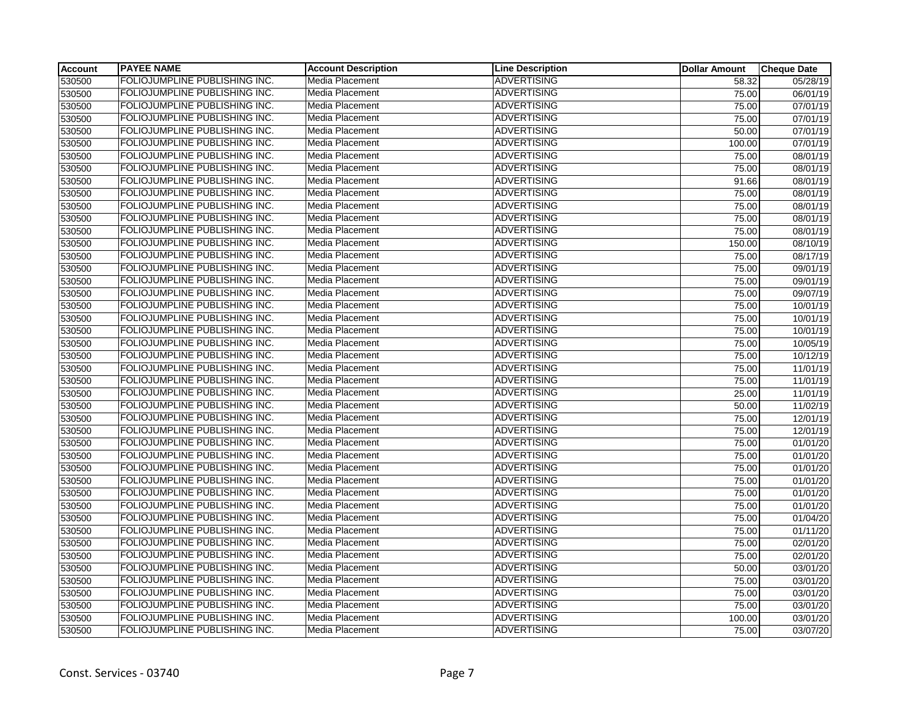| <b>Account</b> | <b>PAYEE NAME</b>                    | <b>Account Description</b> | <b>Line Description</b> | <b>Dollar Amount</b> | <b>Cheque Date</b> |
|----------------|--------------------------------------|----------------------------|-------------------------|----------------------|--------------------|
| 530500         | <b>FOLIOJUMPLINE PUBLISHING INC.</b> | Media Placement            | <b>ADVERTISING</b>      | 58.32                | 05/28/19           |
| 530500         | FOLIOJUMPLINE PUBLISHING INC.        | Media Placement            | <b>ADVERTISING</b>      | 75.00                | 06/01/19           |
| 530500         | FOLIOJUMPLINE PUBLISHING INC.        | Media Placement            | <b>ADVERTISING</b>      | 75.00                | 07/01/19           |
| 530500         | FOLIOJUMPLINE PUBLISHING INC.        | Media Placement            | <b>ADVERTISING</b>      | 75.00                | 07/01/19           |
| 530500         | FOLIOJUMPLINE PUBLISHING INC.        | Media Placement            | <b>ADVERTISING</b>      | 50.00                | 07/01/19           |
| 530500         | FOLIOJUMPLINE PUBLISHING INC.        | Media Placement            | <b>ADVERTISING</b>      | 100.00               | 07/01/19           |
| 530500         | FOLIOJUMPLINE PUBLISHING INC.        | Media Placement            | <b>ADVERTISING</b>      | 75.00                | 08/01/19           |
| 530500         | FOLIOJUMPLINE PUBLISHING INC.        | Media Placement            | <b>ADVERTISING</b>      | 75.00                | 08/01/19           |
| 530500         | FOLIOJUMPLINE PUBLISHING INC.        | Media Placement            | <b>ADVERTISING</b>      | 91.66                | 08/01/19           |
| 530500         | FOLIOJUMPLINE PUBLISHING INC.        | Media Placement            | <b>ADVERTISING</b>      | 75.00                | 08/01/19           |
| 530500         | FOLIOJUMPLINE PUBLISHING INC.        | Media Placement            | <b>ADVERTISING</b>      | 75.00                | 08/01/19           |
| 530500         | FOLIOJUMPLINE PUBLISHING INC.        | Media Placement            | <b>ADVERTISING</b>      | 75.00                | 08/01/19           |
| 530500         | FOLIOJUMPLINE PUBLISHING INC.        | Media Placement            | <b>ADVERTISING</b>      | 75.00                | 08/01/19           |
| 530500         | FOLIOJUMPLINE PUBLISHING INC.        | Media Placement            | <b>ADVERTISING</b>      | 150.00               | 08/10/19           |
| 530500         | FOLIOJUMPLINE PUBLISHING INC.        | Media Placement            | <b>ADVERTISING</b>      | 75.00                | 08/17/19           |
| 530500         | FOLIOJUMPLINE PUBLISHING INC.        | Media Placement            | <b>ADVERTISING</b>      | 75.00                | 09/01/19           |
| 530500         | FOLIOJUMPLINE PUBLISHING INC.        | Media Placement            | <b>ADVERTISING</b>      | 75.00                | 09/01/19           |
| 530500         | FOLIOJUMPLINE PUBLISHING INC.        | Media Placement            | <b>ADVERTISING</b>      | 75.00                | 09/07/19           |
| 530500         | FOLIOJUMPLINE PUBLISHING INC.        | Media Placement            | <b>ADVERTISING</b>      | 75.00                | 10/01/19           |
| 530500         | FOLIOJUMPLINE PUBLISHING INC.        | Media Placement            | <b>ADVERTISING</b>      | 75.00                | 10/01/19           |
| 530500         | FOLIOJUMPLINE PUBLISHING INC.        | Media Placement            | <b>ADVERTISING</b>      | 75.00                | 10/01/19           |
| 530500         | FOLIOJUMPLINE PUBLISHING INC.        | Media Placement            | <b>ADVERTISING</b>      | 75.00                | 10/05/19           |
| 530500         | FOLIOJUMPLINE PUBLISHING INC.        | Media Placement            | <b>ADVERTISING</b>      | 75.00                | 10/12/19           |
| 530500         | FOLIOJUMPLINE PUBLISHING INC.        | Media Placement            | <b>ADVERTISING</b>      | 75.00                | 11/01/19           |
| 530500         | FOLIOJUMPLINE PUBLISHING INC.        | Media Placement            | <b>ADVERTISING</b>      | 75.00                | 11/01/19           |
| 530500         | FOLIOJUMPLINE PUBLISHING INC.        | Media Placement            | <b>ADVERTISING</b>      | 25.00                | 11/01/19           |
| 530500         | FOLIOJUMPLINE PUBLISHING INC.        | Media Placement            | <b>ADVERTISING</b>      | 50.00                | 11/02/19           |
| 530500         | FOLIOJUMPLINE PUBLISHING INC.        | Media Placement            | <b>ADVERTISING</b>      | 75.00                | 12/01/19           |
| 530500         | FOLIOJUMPLINE PUBLISHING INC.        | Media Placement            | <b>ADVERTISING</b>      | 75.00                | 12/01/19           |
| 530500         | FOLIOJUMPLINE PUBLISHING INC.        | Media Placement            | <b>ADVERTISING</b>      | 75.00                | 01/01/20           |
| 530500         | FOLIOJUMPLINE PUBLISHING INC.        | Media Placement            | <b>ADVERTISING</b>      | 75.00                | 01/01/20           |
| 530500         | FOLIOJUMPLINE PUBLISHING INC.        | Media Placement            | <b>ADVERTISING</b>      | 75.00                | 01/01/20           |
| 530500         | FOLIOJUMPLINE PUBLISHING INC.        | Media Placement            | <b>ADVERTISING</b>      | 75.00                | 01/01/20           |
| 530500         | FOLIOJUMPLINE PUBLISHING INC.        | Media Placement            | <b>ADVERTISING</b>      | 75.00                | 01/01/20           |
| 530500         | FOLIOJUMPLINE PUBLISHING INC.        | Media Placement            | <b>ADVERTISING</b>      | 75.00                | 01/01/20           |
| 530500         | FOLIOJUMPLINE PUBLISHING INC.        | Media Placement            | <b>ADVERTISING</b>      | 75.00                | 01/04/20           |
| 530500         | FOLIOJUMPLINE PUBLISHING INC.        | Media Placement            | <b>ADVERTISING</b>      | 75.00                | 01/11/20           |
| 530500         | FOLIOJUMPLINE PUBLISHING INC.        | Media Placement            | <b>ADVERTISING</b>      | 75.00                | 02/01/20           |
| 530500         | FOLIOJUMPLINE PUBLISHING INC.        | <b>Media Placement</b>     | <b>ADVERTISING</b>      | 75.00                | 02/01/20           |
| 530500         | FOLIOJUMPLINE PUBLISHING INC.        | Media Placement            | <b>ADVERTISING</b>      | 50.00                | 03/01/20           |
| 530500         | FOLIOJUMPLINE PUBLISHING INC.        | Media Placement            | <b>ADVERTISING</b>      | 75.00                | 03/01/20           |
| 530500         | FOLIOJUMPLINE PUBLISHING INC.        | Media Placement            | <b>ADVERTISING</b>      | 75.00                | 03/01/20           |
| 530500         | FOLIOJUMPLINE PUBLISHING INC.        | Media Placement            | <b>ADVERTISING</b>      | 75.00                | 03/01/20           |
| 530500         | FOLIOJUMPLINE PUBLISHING INC.        | Media Placement            | <b>ADVERTISING</b>      | 100.00               | 03/01/20           |
| 530500         | FOLIOJUMPLINE PUBLISHING INC.        | Media Placement            | <b>ADVERTISING</b>      | 75.00                | 03/07/20           |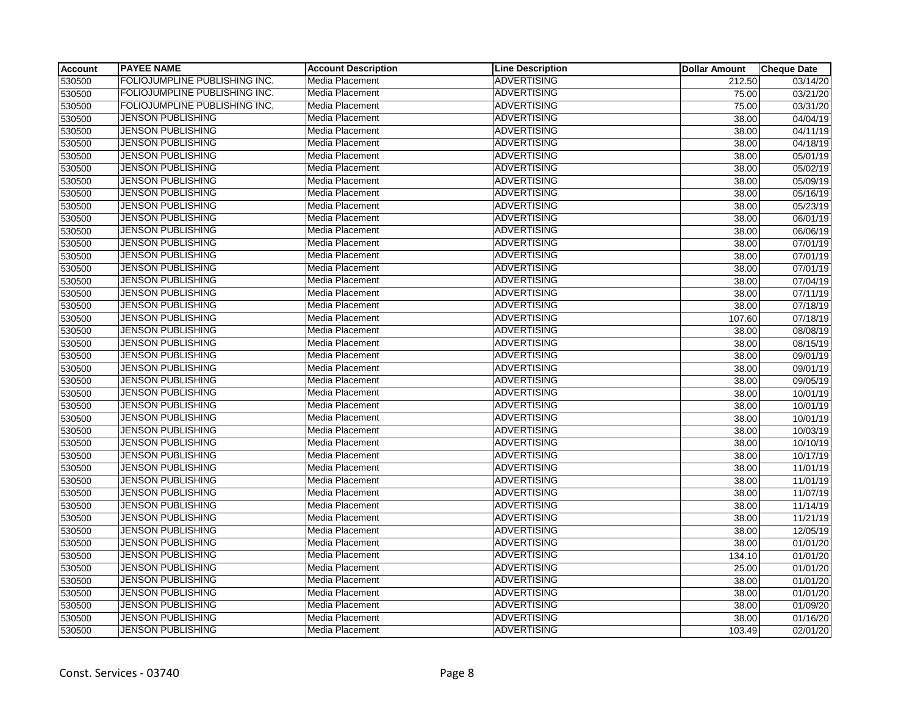| <b>Account</b> | <b>PAYEE NAME</b>             | <b>Account Description</b> | <b>Line Description</b> | <b>Dollar Amount</b> | <b>Cheque Date</b>    |
|----------------|-------------------------------|----------------------------|-------------------------|----------------------|-----------------------|
| 530500         | FOLIOJUMPLINE PUBLISHING INC. | Media Placement            | <b>ADVERTISING</b>      | 212.50               | 03/14/20              |
| 530500         | FOLIOJUMPLINE PUBLISHING INC. | Media Placement            | <b>ADVERTISING</b>      | 75.00                | 03/21/20              |
| 530500         | FOLIOJUMPLINE PUBLISHING INC. | Media Placement            | <b>ADVERTISING</b>      | 75.00                | 03/31/20              |
| 530500         | <b>JENSON PUBLISHING</b>      | Media Placement            | <b>ADVERTISING</b>      | 38.00                | 04/04/19              |
| 530500         | <b>JENSON PUBLISHING</b>      | Media Placement            | <b>ADVERTISING</b>      | 38.00                | 04/11/19              |
| 530500         | <b>JENSON PUBLISHING</b>      | Media Placement            | <b>ADVERTISING</b>      | 38.00                | 04/18/19              |
| 530500         | JENSON PUBLISHING             | Media Placement            | <b>ADVERTISING</b>      | 38.00                | 05/01/19              |
| 530500         | JENSON PUBLISHING             | Media Placement            | <b>ADVERTISING</b>      | 38.00                | 05/02/19              |
| 530500         | <b>JENSON PUBLISHING</b>      | Media Placement            | <b>ADVERTISING</b>      | 38.00                | 05/09/19              |
| 530500         | <b>JENSON PUBLISHING</b>      | Media Placement            | <b>ADVERTISING</b>      | 38.00                | 05/16/19              |
| 530500         | <b>JENSON PUBLISHING</b>      | Media Placement            | <b>ADVERTISING</b>      | 38.00                | 05/23/19              |
| 530500         | JENSON PUBLISHING             | Media Placement            | <b>ADVERTISING</b>      | 38.00                | 06/01/19              |
| 530500         | <b>JENSON PUBLISHING</b>      | <b>Media Placement</b>     | <b>ADVERTISING</b>      | 38.00                | 06/06/19              |
| 530500         | <b>JENSON PUBLISHING</b>      | Media Placement            | <b>ADVERTISING</b>      | 38.00                | 07/01/19              |
| 530500         | <b>JENSON PUBLISHING</b>      | Media Placement            | <b>ADVERTISING</b>      | 38.00                | 07/01/19              |
| 530500         | <b>JENSON PUBLISHING</b>      | Media Placement            | <b>ADVERTISING</b>      | 38.00                | 07/01/19              |
| 530500         | <b>JENSON PUBLISHING</b>      | Media Placement            | <b>ADVERTISING</b>      | 38.00                | 07/04/19              |
| 530500         | <b>JENSON PUBLISHING</b>      | Media Placement            | <b>ADVERTISING</b>      | 38.00                | 07/11/19              |
| 530500         | <b>JENSON PUBLISHING</b>      | Media Placement            | <b>ADVERTISING</b>      | 38.00                | $\overline{07/18/19}$ |
| 530500         | JENSON PUBLISHING             | Media Placement            | <b>ADVERTISING</b>      | 107.60               | 07/18/19              |
| 530500         | <b>JENSON PUBLISHING</b>      | Media Placement            | <b>ADVERTISING</b>      | 38.00                | 08/08/19              |
| 530500         | <b>JENSON PUBLISHING</b>      | Media Placement            | <b>ADVERTISING</b>      | 38.00                | 08/15/19              |
| 530500         | <b>JENSON PUBLISHING</b>      | <b>Media Placement</b>     | <b>ADVERTISING</b>      | 38.00                | 09/01/19              |
| 530500         | <b>JENSON PUBLISHING</b>      | Media Placement            | <b>ADVERTISING</b>      | 38.00                | 09/01/19              |
| 530500         | <b>JENSON PUBLISHING</b>      | Media Placement            | <b>ADVERTISING</b>      | 38.00                | 09/05/19              |
| 530500         | <b>JENSON PUBLISHING</b>      | Media Placement            | <b>ADVERTISING</b>      | 38.00                | 10/01/19              |
| 530500         | <b>JENSON PUBLISHING</b>      | Media Placement            | <b>ADVERTISING</b>      | 38.00                | 10/01/19              |
| 530500         | <b>JENSON PUBLISHING</b>      | Media Placement            | <b>ADVERTISING</b>      | 38.00                | 10/01/19              |
| 530500         | <b>JENSON PUBLISHING</b>      | Media Placement            | <b>ADVERTISING</b>      | 38.00                | 10/03/19              |
| 530500         | <b>JENSON PUBLISHING</b>      | Media Placement            | <b>ADVERTISING</b>      | 38.00                | 10/10/19              |
| 530500         | JENSON PUBLISHING             | Media Placement            | <b>ADVERTISING</b>      | 38.00                | 10/17/19              |
| 530500         | <b>JENSON PUBLISHING</b>      | Media Placement            | <b>ADVERTISING</b>      | 38.00                | 11/01/19              |
| 530500         | JENSON PUBLISHING             | Media Placement            | <b>ADVERTISING</b>      | 38.00                | 11/01/19              |
| 530500         | <b>JENSON PUBLISHING</b>      | Media Placement            | <b>ADVERTISING</b>      | 38.00                | 11/07/19              |
| 530500         | <b>JENSON PUBLISHING</b>      | Media Placement            | <b>ADVERTISING</b>      | 38.00                | 11/14/19              |
| 530500         | <b>JENSON PUBLISHING</b>      | Media Placement            | <b>ADVERTISING</b>      | 38.00                | 11/21/19              |
| 530500         | <b>JENSON PUBLISHING</b>      | Media Placement            | <b>ADVERTISING</b>      | 38.00                | 12/05/19              |
| 530500         | <b>JENSON PUBLISHING</b>      | Media Placement            | <b>ADVERTISING</b>      | 38.00                | 01/01/20              |
| 530500         | JENSON PUBLISHING             | Media Placement            | <b>ADVERTISING</b>      | 134.10               | 01/01/20              |
| 530500         | <b>JENSON PUBLISHING</b>      | Media Placement            | <b>ADVERTISING</b>      | 25.00                | 01/01/20              |
| 530500         | <b>JENSON PUBLISHING</b>      | Media Placement            | <b>ADVERTISING</b>      | 38.00                | 01/01/20              |
| 530500         | <b>JENSON PUBLISHING</b>      | Media Placement            | <b>ADVERTISING</b>      | 38.00                | 01/01/20              |
| 530500         | JENSON PUBLISHING             | Media Placement            | <b>ADVERTISING</b>      | 38.00                | 01/09/20              |
| 530500         | JENSON PUBLISHING             | Media Placement            | <b>ADVERTISING</b>      | 38.00                | 01/16/20              |
| 530500         | <b>JENSON PUBLISHING</b>      | Media Placement            | <b>ADVERTISING</b>      | 103.49               | 02/01/20              |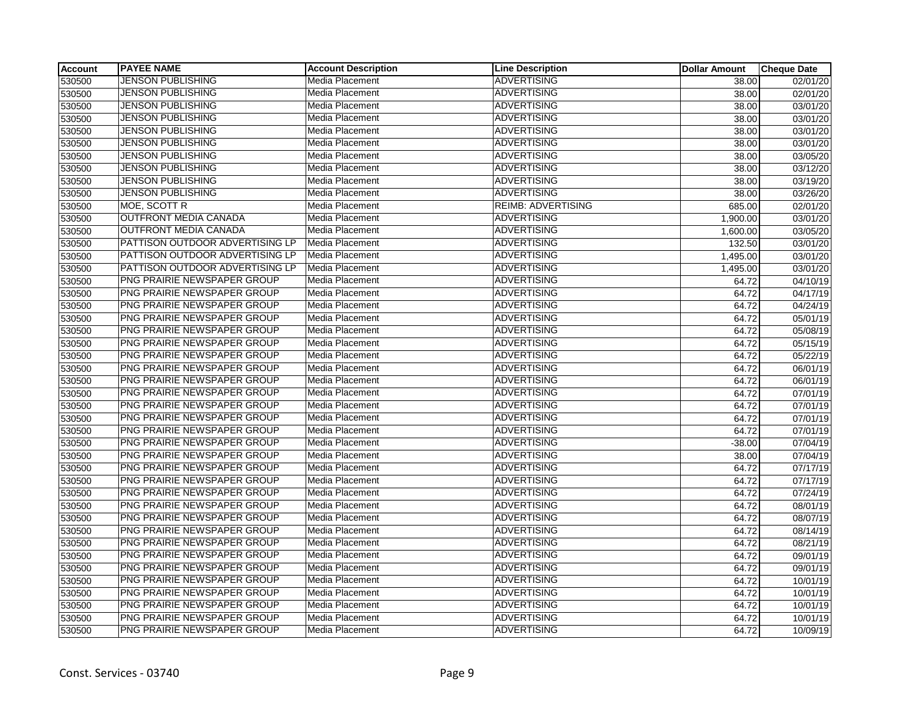| <b>Account</b> | <b>PAYEE NAME</b>               | <b>Account Description</b> | <b>Line Description</b>   | <b>Dollar Amount</b> | <b>Cheque Date</b>    |
|----------------|---------------------------------|----------------------------|---------------------------|----------------------|-----------------------|
| 530500         | <b>JENSON PUBLISHING</b>        | Media Placement            | <b>ADVERTISING</b>        | 38.00                | $\overline{02}/01/20$ |
| 530500         | <b>JENSON PUBLISHING</b>        | Media Placement            | <b>ADVERTISING</b>        | 38.00                | 02/01/20              |
| 530500         | <b>JENSON PUBLISHING</b>        | Media Placement            | <b>ADVERTISING</b>        | 38.00                | 03/01/20              |
| 530500         | <b>JENSON PUBLISHING</b>        | Media Placement            | <b>ADVERTISING</b>        | 38.00                | 03/01/20              |
| 530500         | <b>JENSON PUBLISHING</b>        | Media Placement            | <b>ADVERTISING</b>        | 38.00                | 03/01/20              |
| 530500         | <b>JENSON PUBLISHING</b>        | Media Placement            | <b>ADVERTISING</b>        | 38.00                | 03/01/20              |
| 530500         | <b>JENSON PUBLISHING</b>        | Media Placement            | <b>ADVERTISING</b>        | 38.00                | 03/05/20              |
| 530500         | <b>JENSON PUBLISHING</b>        | Media Placement            | <b>ADVERTISING</b>        | 38.00                | 03/12/20              |
| 530500         | <b>JENSON PUBLISHING</b>        | Media Placement            | <b>ADVERTISING</b>        | 38.00                | 03/19/20              |
| 530500         | <b>JENSON PUBLISHING</b>        | Media Placement            | <b>ADVERTISING</b>        | 38.00                | 03/26/20              |
| 530500         | MOE, SCOTT R                    | Media Placement            | <b>REIMB: ADVERTISING</b> | 685.00               | 02/01/20              |
| 530500         | <b>OUTFRONT MEDIA CANADA</b>    | Media Placement            | <b>ADVERTISING</b>        | 1,900.00             | 03/01/20              |
| 530500         | <b>OUTFRONT MEDIA CANADA</b>    | <b>Media Placement</b>     | <b>ADVERTISING</b>        | 1,600.00             | 03/05/20              |
| 530500         | PATTISON OUTDOOR ADVERTISING LP | Media Placement            | <b>ADVERTISING</b>        | 132.50               | 03/01/20              |
| 530500         | PATTISON OUTDOOR ADVERTISING LP | Media Placement            | <b>ADVERTISING</b>        | 1,495.00             | 03/01/20              |
| 530500         | PATTISON OUTDOOR ADVERTISING LP | Media Placement            | <b>ADVERTISING</b>        | 1,495.00             | 03/01/20              |
| 530500         | PNG PRAIRIE NEWSPAPER GROUP     | Media Placement            | <b>ADVERTISING</b>        | 64.72                | 04/10/19              |
| 530500         | PNG PRAIRIE NEWSPAPER GROUP     | Media Placement            | <b>ADVERTISING</b>        | 64.72                | 04/17/19              |
| 530500         | PNG PRAIRIE NEWSPAPER GROUP     | Media Placement            | <b>ADVERTISING</b>        | 64.72                | 04/24/19              |
| 530500         | PNG PRAIRIE NEWSPAPER GROUP     | Media Placement            | <b>ADVERTISING</b>        | 64.72                | 05/01/19              |
| 530500         | PNG PRAIRIE NEWSPAPER GROUP     | Media Placement            | <b>ADVERTISING</b>        | 64.72                | 05/08/19              |
| 530500         | PNG PRAIRIE NEWSPAPER GROUP     | Media Placement            | <b>ADVERTISING</b>        | 64.72                | 05/15/19              |
| 530500         | PNG PRAIRIE NEWSPAPER GROUP     | Media Placement            | <b>ADVERTISING</b>        | 64.72                | 05/22/19              |
| 530500         | PNG PRAIRIE NEWSPAPER GROUP     | Media Placement            | <b>ADVERTISING</b>        | 64.72                | 06/01/19              |
| 530500         | PNG PRAIRIE NEWSPAPER GROUP     | Media Placement            | <b>ADVERTISING</b>        | 64.72                | 06/01/19              |
| 530500         | PNG PRAIRIE NEWSPAPER GROUP     | Media Placement            | <b>ADVERTISING</b>        | 64.72                | 07/01/19              |
| 530500         | PNG PRAIRIE NEWSPAPER GROUP     | Media Placement            | <b>ADVERTISING</b>        | 64.72                | 07/01/19              |
| 530500         | PNG PRAIRIE NEWSPAPER GROUP     | Media Placement            | <b>ADVERTISING</b>        | 64.72                | 07/01/19              |
| 530500         | PNG PRAIRIE NEWSPAPER GROUP     | Media Placement            | <b>ADVERTISING</b>        | 64.72                | 07/01/19              |
| 530500         | PNG PRAIRIE NEWSPAPER GROUP     | Media Placement            | <b>ADVERTISING</b>        | $-38.00$             | 07/04/19              |
| 530500         | PNG PRAIRIE NEWSPAPER GROUP     | Media Placement            | <b>ADVERTISING</b>        | 38.00                | 07/04/19              |
| 530500         | PNG PRAIRIE NEWSPAPER GROUP     | Media Placement            | <b>ADVERTISING</b>        | 64.72                | $\overline{07}/17/19$ |
| 530500         | PNG PRAIRIE NEWSPAPER GROUP     | Media Placement            | <b>ADVERTISING</b>        | 64.72                | 07/17/19              |
| 530500         | PNG PRAIRIE NEWSPAPER GROUP     | Media Placement            | <b>ADVERTISING</b>        | 64.72                | 07/24/19              |
| 530500         | PNG PRAIRIE NEWSPAPER GROUP     | Media Placement            | <b>ADVERTISING</b>        | 64.72                | 08/01/19              |
| 530500         | PNG PRAIRIE NEWSPAPER GROUP     | Media Placement            | <b>ADVERTISING</b>        | 64.72                | 08/07/19              |
| 530500         | PNG PRAIRIE NEWSPAPER GROUP     | Media Placement            | <b>ADVERTISING</b>        | 64.72                | 08/14/19              |
| 530500         | PNG PRAIRIE NEWSPAPER GROUP     | Media Placement            | <b>ADVERTISING</b>        | 64.72                | 08/21/19              |
| 530500         | PNG PRAIRIE NEWSPAPER GROUP     | Media Placement            | <b>ADVERTISING</b>        | 64.72                | 09/01/19              |
| 530500         | PNG PRAIRIE NEWSPAPER GROUP     | Media Placement            | <b>ADVERTISING</b>        | 64.72                | 09/01/19              |
| 530500         | PNG PRAIRIE NEWSPAPER GROUP     | Media Placement            | <b>ADVERTISING</b>        | 64.72                | 10/01/19              |
| 530500         | PNG PRAIRIE NEWSPAPER GROUP     | Media Placement            | <b>ADVERTISING</b>        | 64.72                | 10/01/19              |
| 530500         | PNG PRAIRIE NEWSPAPER GROUP     | Media Placement            | <b>ADVERTISING</b>        | 64.72                | 10/01/19              |
| 530500         | PNG PRAIRIE NEWSPAPER GROUP     | Media Placement            | <b>ADVERTISING</b>        | 64.72                | 10/01/19              |
| 530500         | PNG PRAIRIE NEWSPAPER GROUP     | Media Placement            | <b>ADVERTISING</b>        | 64.72                | 10/09/19              |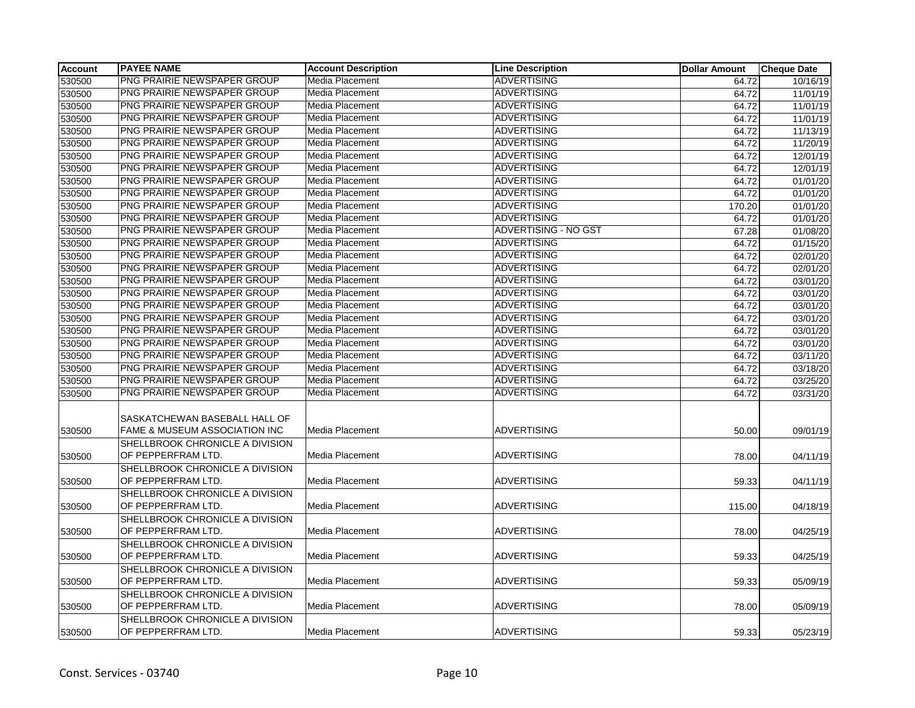| <b>Account</b> | <b>PAYEE NAME</b>                                              | <b>Account Description</b> | <b>Line Description</b> | <b>Dollar Amount</b> | <b>Cheque Date</b> |
|----------------|----------------------------------------------------------------|----------------------------|-------------------------|----------------------|--------------------|
| 530500         | PNG PRAIRIE NEWSPAPER GROUP                                    | Media Placement            | <b>ADVERTISING</b>      | 64.72                | 10/16/19           |
| 530500         | PNG PRAIRIE NEWSPAPER GROUP                                    | Media Placement            | <b>ADVERTISING</b>      | 64.72                | 11/01/19           |
| 530500         | PNG PRAIRIE NEWSPAPER GROUP                                    | Media Placement            | <b>ADVERTISING</b>      | 64.72                | 11/01/19           |
| 530500         | PNG PRAIRIE NEWSPAPER GROUP                                    | Media Placement            | <b>ADVERTISING</b>      | 64.72                | 11/01/19           |
| 530500         | PNG PRAIRIE NEWSPAPER GROUP                                    | Media Placement            | <b>ADVERTISING</b>      | 64.72                | 11/13/19           |
| 530500         | PNG PRAIRIE NEWSPAPER GROUP                                    | Media Placement            | <b>ADVERTISING</b>      | 64.72                | 11/20/19           |
| 530500         | PNG PRAIRIE NEWSPAPER GROUP                                    | Media Placement            | <b>ADVERTISING</b>      | 64.72                | 12/01/19           |
| 530500         | PNG PRAIRIE NEWSPAPER GROUP                                    | Media Placement            | <b>ADVERTISING</b>      | 64.72                | 12/01/19           |
| 530500         | PNG PRAIRIE NEWSPAPER GROUP                                    | Media Placement            | <b>ADVERTISING</b>      | 64.72                | 01/01/20           |
| 530500         | PNG PRAIRIE NEWSPAPER GROUP                                    | Media Placement            | <b>ADVERTISING</b>      | 64.72                | 01/01/20           |
| 530500         | PNG PRAIRIE NEWSPAPER GROUP                                    | Media Placement            | <b>ADVERTISING</b>      | 170.20               | 01/01/20           |
| 530500         | PNG PRAIRIE NEWSPAPER GROUP                                    | Media Placement            | <b>ADVERTISING</b>      | 64.72                | 01/01/20           |
| 530500         | <b>PNG PRAIRIE NEWSPAPER GROUP</b>                             | Media Placement            | ADVERTISING - NO GST    | 67.28                | 01/08/20           |
| 530500         | PNG PRAIRIE NEWSPAPER GROUP                                    | Media Placement            | <b>ADVERTISING</b>      | 64.72                | 01/15/20           |
| 530500         | PNG PRAIRIE NEWSPAPER GROUP                                    | Media Placement            | <b>ADVERTISING</b>      | 64.72                | 02/01/20           |
| 530500         | PNG PRAIRIE NEWSPAPER GROUP                                    | Media Placement            | <b>ADVERTISING</b>      | 64.72                | 02/01/20           |
| 530500         | PNG PRAIRIE NEWSPAPER GROUP                                    | Media Placement            | <b>ADVERTISING</b>      | 64.72                | 03/01/20           |
| 530500         | PNG PRAIRIE NEWSPAPER GROUP                                    | Media Placement            | <b>ADVERTISING</b>      | 64.72                | 03/01/20           |
| 530500         | PNG PRAIRIE NEWSPAPER GROUP                                    | Media Placement            | <b>ADVERTISING</b>      | 64.72                | 03/01/20           |
| 530500         | PNG PRAIRIE NEWSPAPER GROUP                                    | Media Placement            | <b>ADVERTISING</b>      | 64.72                | 03/01/20           |
| 530500         | PNG PRAIRIE NEWSPAPER GROUP                                    | Media Placement            | <b>ADVERTISING</b>      | 64.72                | 03/01/20           |
| 530500         | PNG PRAIRIE NEWSPAPER GROUP                                    | Media Placement            | <b>ADVERTISING</b>      | 64.72                | 03/01/20           |
| 530500         | PNG PRAIRIE NEWSPAPER GROUP                                    | Media Placement            | <b>ADVERTISING</b>      | 64.72                | 03/11/20           |
| 530500         | PNG PRAIRIE NEWSPAPER GROUP                                    | Media Placement            | <b>ADVERTISING</b>      | 64.72                | 03/18/20           |
| 530500         | PNG PRAIRIE NEWSPAPER GROUP                                    | Media Placement            | <b>ADVERTISING</b>      | 64.72                | 03/25/20           |
| 530500         | PNG PRAIRIE NEWSPAPER GROUP                                    | Media Placement            | <b>ADVERTISING</b>      | 64.72                | 03/31/20           |
| 530500         | SASKATCHEWAN BASEBALL HALL OF<br>FAME & MUSEUM ASSOCIATION INC | Media Placement            | <b>ADVERTISING</b>      | 50.00                | 09/01/19           |
|                | SHELLBROOK CHRONICLE A DIVISION                                |                            |                         |                      |                    |
| 530500         | OF PEPPERFRAM LTD.                                             | Media Placement            | <b>ADVERTISING</b>      | 78.00                | 04/11/19           |
| 530500         | SHELLBROOK CHRONICLE A DIVISION<br>OF PEPPERFRAM LTD.          | Media Placement            | <b>ADVERTISING</b>      | 59.33                | 04/11/19           |
| 530500         | SHELLBROOK CHRONICLE A DIVISION<br>OF PEPPERFRAM LTD.          | Media Placement            | <b>ADVERTISING</b>      | 115.00               | 04/18/19           |
| 530500         | SHELLBROOK CHRONICLE A DIVISION<br>OF PEPPERFRAM LTD.          | Media Placement            | <b>ADVERTISING</b>      | 78.00                | 04/25/19           |
| 530500         | SHELLBROOK CHRONICLE A DIVISION<br>OF PEPPERFRAM LTD.          | Media Placement            | <b>ADVERTISING</b>      | 59.33                | 04/25/19           |
| 530500         | SHELLBROOK CHRONICLE A DIVISION<br>OF PEPPERFRAM LTD.          | Media Placement            | <b>ADVERTISING</b>      | 59.33                | 05/09/19           |
| 530500         | SHELLBROOK CHRONICLE A DIVISION<br>OF PEPPERFRAM LTD.          | Media Placement            | <b>ADVERTISING</b>      | 78.00                | 05/09/19           |
| 530500         | SHELLBROOK CHRONICLE A DIVISION<br>OF PEPPERFRAM LTD.          | Media Placement            | ADVERTISING             | 59.33                | 05/23/19           |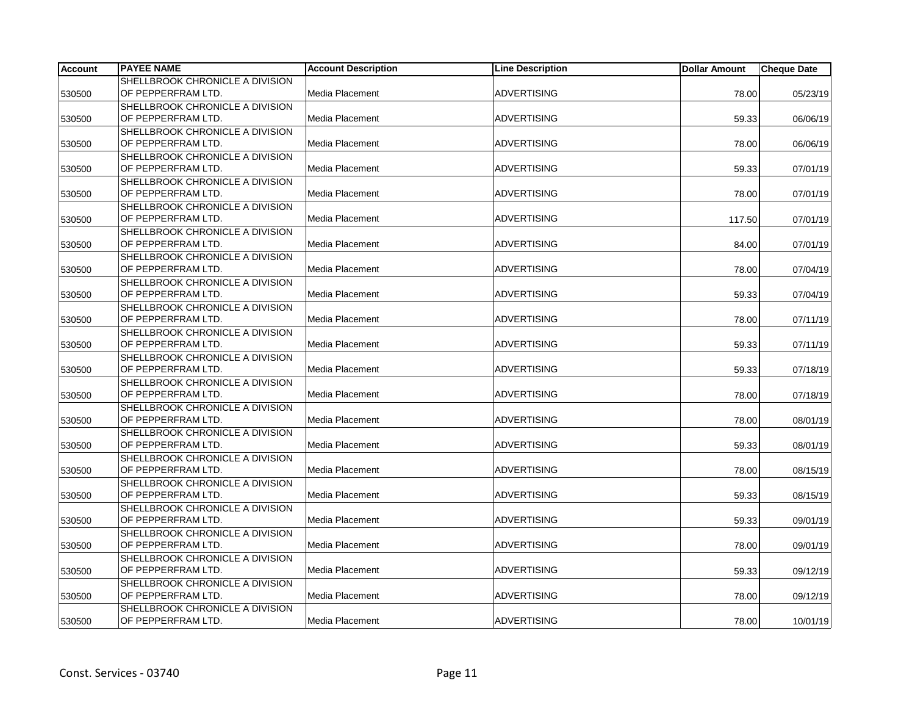| <b>Account</b> | <b>PAYEE NAME</b>               | <b>Account Description</b> | <b>Line Description</b> | <b>Dollar Amount</b> | <b>Cheque Date</b> |
|----------------|---------------------------------|----------------------------|-------------------------|----------------------|--------------------|
|                | SHELLBROOK CHRONICLE A DIVISION |                            |                         |                      |                    |
| 530500         | OF PEPPERFRAM LTD.              | Media Placement            | <b>ADVERTISING</b>      | 78.00                | 05/23/19           |
|                | SHELLBROOK CHRONICLE A DIVISION |                            |                         |                      |                    |
| 530500         | OF PEPPERFRAM LTD.              | Media Placement            | <b>ADVERTISING</b>      | 59.33                | 06/06/19           |
|                | SHELLBROOK CHRONICLE A DIVISION |                            |                         |                      |                    |
| 530500         | OF PEPPERFRAM LTD.              | Media Placement            | <b>ADVERTISING</b>      | 78.00                | 06/06/19           |
|                | SHELLBROOK CHRONICLE A DIVISION |                            |                         |                      |                    |
| 530500         | OF PEPPERFRAM LTD.              | Media Placement            | <b>ADVERTISING</b>      | 59.33                | 07/01/19           |
|                | SHELLBROOK CHRONICLE A DIVISION |                            |                         |                      |                    |
| 530500         | OF PEPPERFRAM LTD.              | Media Placement            | <b>ADVERTISING</b>      | 78.00                | 07/01/19           |
|                | SHELLBROOK CHRONICLE A DIVISION |                            |                         |                      |                    |
| 530500         | OF PEPPERFRAM LTD.              | Media Placement            | <b>ADVERTISING</b>      | 117.50               | 07/01/19           |
|                | SHELLBROOK CHRONICLE A DIVISION |                            |                         |                      |                    |
| 530500         | OF PEPPERFRAM LTD.              | Media Placement            | <b>ADVERTISING</b>      | 84.00                | 07/01/19           |
|                | SHELLBROOK CHRONICLE A DIVISION |                            |                         |                      |                    |
| 530500         | OF PEPPERFRAM LTD.              | Media Placement            | <b>ADVERTISING</b>      | 78.00                | 07/04/19           |
|                | SHELLBROOK CHRONICLE A DIVISION |                            |                         |                      |                    |
| 530500         | OF PEPPERFRAM LTD.              | Media Placement            | <b>ADVERTISING</b>      | 59.33                | 07/04/19           |
|                | SHELLBROOK CHRONICLE A DIVISION |                            |                         |                      |                    |
| 530500         | OF PEPPERFRAM LTD.              | Media Placement            | <b>ADVERTISING</b>      | 78.00                | 07/11/19           |
|                | SHELLBROOK CHRONICLE A DIVISION |                            |                         |                      |                    |
| 530500         | OF PEPPERFRAM LTD.              | Media Placement            | <b>ADVERTISING</b>      | 59.33                | 07/11/19           |
|                | SHELLBROOK CHRONICLE A DIVISION |                            |                         |                      |                    |
| 530500         | OF PEPPERFRAM LTD.              | Media Placement            | <b>ADVERTISING</b>      | 59.33                | 07/18/19           |
|                | SHELLBROOK CHRONICLE A DIVISION |                            |                         |                      |                    |
| 530500         | OF PEPPERFRAM LTD.              | Media Placement            | <b>ADVERTISING</b>      | 78.00                | 07/18/19           |
|                | SHELLBROOK CHRONICLE A DIVISION |                            |                         |                      |                    |
| 530500         | OF PEPPERFRAM LTD.              | Media Placement            | <b>ADVERTISING</b>      | 78.00                | 08/01/19           |
|                | SHELLBROOK CHRONICLE A DIVISION |                            |                         |                      |                    |
| 530500         | OF PEPPERFRAM LTD.              | Media Placement            | <b>ADVERTISING</b>      | 59.33                | 08/01/19           |
|                | SHELLBROOK CHRONICLE A DIVISION |                            |                         |                      |                    |
| 530500         | OF PEPPERFRAM LTD.              | Media Placement            | <b>ADVERTISING</b>      | 78.00                | 08/15/19           |
|                | SHELLBROOK CHRONICLE A DIVISION |                            |                         |                      |                    |
| 530500         | OF PEPPERFRAM LTD.              | Media Placement            | <b>ADVERTISING</b>      | 59.33                | 08/15/19           |
|                | SHELLBROOK CHRONICLE A DIVISION |                            |                         |                      |                    |
| 530500         | OF PEPPERFRAM LTD.              | Media Placement            | <b>ADVERTISING</b>      | 59.33                | 09/01/19           |
|                | SHELLBROOK CHRONICLE A DIVISION |                            |                         |                      |                    |
| 530500         | OF PEPPERFRAM LTD.              | Media Placement            | <b>ADVERTISING</b>      | 78.00                | 09/01/19           |
|                | SHELLBROOK CHRONICLE A DIVISION |                            |                         |                      |                    |
| 530500         | OF PEPPERFRAM LTD.              | Media Placement            | <b>ADVERTISING</b>      | 59.33                | 09/12/19           |
|                | SHELLBROOK CHRONICLE A DIVISION |                            |                         |                      |                    |
| 530500         | OF PEPPERFRAM LTD.              | Media Placement            | <b>ADVERTISING</b>      | 78.00                | 09/12/19           |
|                | SHELLBROOK CHRONICLE A DIVISION |                            |                         |                      |                    |
| 530500         | OF PEPPERFRAM LTD.              | <b>Media Placement</b>     | ADVERTISING             | 78.00                | 10/01/19           |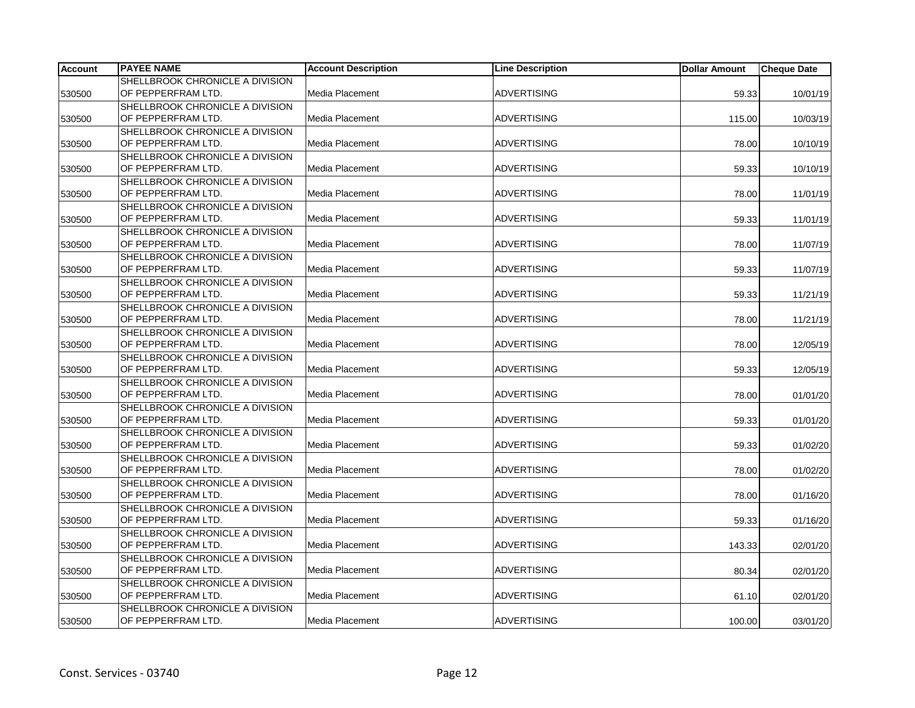| <b>Account</b> | <b>PAYEE NAME</b>               | <b>Account Description</b> | <b>Line Description</b> | <b>Dollar Amount</b> | <b>Cheque Date</b> |
|----------------|---------------------------------|----------------------------|-------------------------|----------------------|--------------------|
|                | SHELLBROOK CHRONICLE A DIVISION |                            |                         |                      |                    |
| 530500         | OF PEPPERFRAM LTD.              | Media Placement            | <b>ADVERTISING</b>      | 59.33                | 10/01/19           |
|                | SHELLBROOK CHRONICLE A DIVISION |                            |                         |                      |                    |
| 530500         | OF PEPPERFRAM LTD.              | Media Placement            | <b>ADVERTISING</b>      | 115.00               | 10/03/19           |
|                | SHELLBROOK CHRONICLE A DIVISION |                            |                         |                      |                    |
| 530500         | OF PEPPERFRAM LTD.              | Media Placement            | <b>ADVERTISING</b>      | 78.00                | 10/10/19           |
|                | SHELLBROOK CHRONICLE A DIVISION |                            |                         |                      |                    |
| 530500         | OF PEPPERFRAM LTD.              | Media Placement            | <b>ADVERTISING</b>      | 59.33                | 10/10/19           |
|                | SHELLBROOK CHRONICLE A DIVISION |                            |                         |                      |                    |
| 530500         | OF PEPPERFRAM LTD.              | Media Placement            | <b>ADVERTISING</b>      | 78.00                | 11/01/19           |
|                | SHELLBROOK CHRONICLE A DIVISION |                            |                         |                      |                    |
| 530500         | OF PEPPERFRAM LTD.              | Media Placement            | <b>ADVERTISING</b>      | 59.33                | 11/01/19           |
|                | SHELLBROOK CHRONICLE A DIVISION |                            |                         |                      |                    |
| 530500         | OF PEPPERFRAM LTD.              | Media Placement            | <b>ADVERTISING</b>      | 78.00                | 11/07/19           |
|                | SHELLBROOK CHRONICLE A DIVISION |                            |                         |                      |                    |
| 530500         | OF PEPPERFRAM LTD.              | Media Placement            | <b>ADVERTISING</b>      | 59.33                | 11/07/19           |
|                | SHELLBROOK CHRONICLE A DIVISION |                            |                         |                      |                    |
| 530500         | OF PEPPERFRAM LTD.              | Media Placement            | <b>ADVERTISING</b>      | 59.33                | 11/21/19           |
|                | SHELLBROOK CHRONICLE A DIVISION |                            |                         |                      |                    |
| 530500         | OF PEPPERFRAM LTD.              | Media Placement            | <b>ADVERTISING</b>      | 78.00                | 11/21/19           |
|                | SHELLBROOK CHRONICLE A DIVISION |                            |                         |                      |                    |
| 530500         | OF PEPPERFRAM LTD.              | Media Placement            | <b>ADVERTISING</b>      | 78.00                | 12/05/19           |
|                | SHELLBROOK CHRONICLE A DIVISION |                            |                         |                      |                    |
| 530500         | OF PEPPERFRAM LTD.              | Media Placement            | <b>ADVERTISING</b>      | 59.33                | 12/05/19           |
|                | SHELLBROOK CHRONICLE A DIVISION |                            |                         |                      |                    |
| 530500         | OF PEPPERFRAM LTD.              | Media Placement            | <b>ADVERTISING</b>      | 78.00                | 01/01/20           |
|                | SHELLBROOK CHRONICLE A DIVISION |                            |                         |                      |                    |
| 530500         | OF PEPPERFRAM LTD.              | Media Placement            | <b>ADVERTISING</b>      | 59.33                | 01/01/20           |
|                | SHELLBROOK CHRONICLE A DIVISION |                            |                         |                      |                    |
| 530500         | OF PEPPERFRAM LTD.              | Media Placement            | <b>ADVERTISING</b>      | 59.33                | 01/02/20           |
|                | SHELLBROOK CHRONICLE A DIVISION |                            |                         |                      |                    |
| 530500         | OF PEPPERFRAM LTD.              | Media Placement            | <b>ADVERTISING</b>      | 78.00                | 01/02/20           |
|                | SHELLBROOK CHRONICLE A DIVISION |                            |                         |                      |                    |
| 530500         | OF PEPPERFRAM LTD.              | Media Placement            | <b>ADVERTISING</b>      | 78.00                | 01/16/20           |
|                | SHELLBROOK CHRONICLE A DIVISION |                            |                         |                      |                    |
| 530500         | OF PEPPERFRAM LTD.              | Media Placement            | <b>ADVERTISING</b>      | 59.33                | 01/16/20           |
|                | SHELLBROOK CHRONICLE A DIVISION |                            |                         |                      |                    |
| 530500         | OF PEPPERFRAM LTD.              | Media Placement            | <b>ADVERTISING</b>      | 143.33               | 02/01/20           |
|                | SHELLBROOK CHRONICLE A DIVISION |                            |                         |                      |                    |
| 530500         | OF PEPPERFRAM LTD.              | Media Placement            | <b>ADVERTISING</b>      | 80.34                | 02/01/20           |
|                | SHELLBROOK CHRONICLE A DIVISION |                            |                         |                      |                    |
| 530500         | OF PEPPERFRAM LTD.              | Media Placement            | <b>ADVERTISING</b>      | 61.10                | 02/01/20           |
|                | SHELLBROOK CHRONICLE A DIVISION |                            |                         |                      |                    |
| 530500         | OF PEPPERFRAM LTD.              | <b>Media Placement</b>     | <b>ADVERTISING</b>      | 100.00               | 03/01/20           |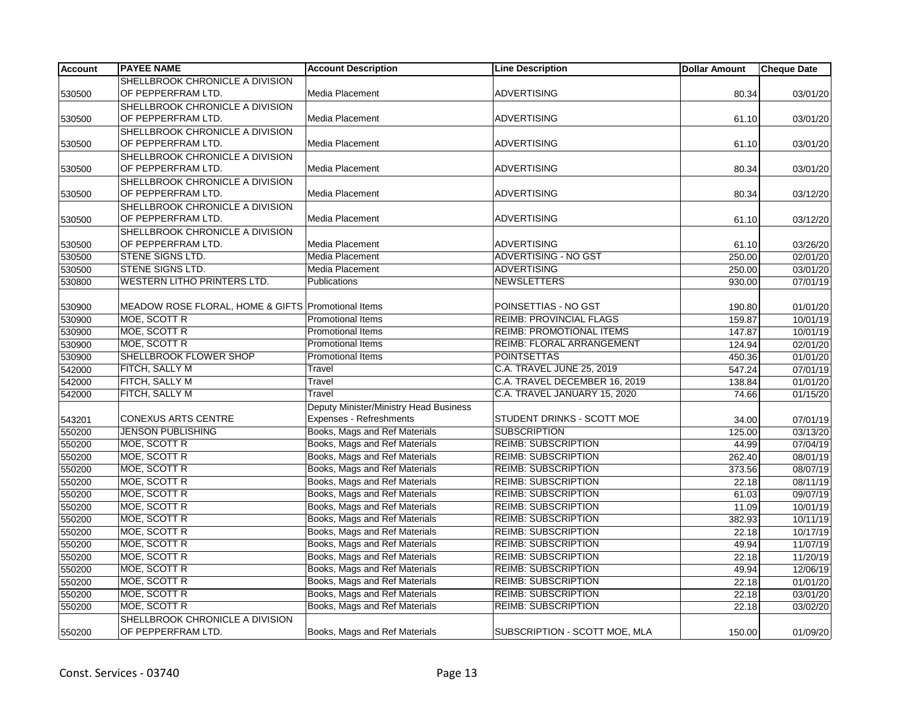| <b>Account</b> | <b>PAYEE NAME</b>                                  | <b>Account Description</b>             | <b>Line Description</b>         | <b>Dollar Amount</b> | <b>Cheque Date</b> |
|----------------|----------------------------------------------------|----------------------------------------|---------------------------------|----------------------|--------------------|
|                | SHELLBROOK CHRONICLE A DIVISION                    |                                        |                                 |                      |                    |
| 530500         | OF PEPPERFRAM LTD.                                 | Media Placement                        | <b>ADVERTISING</b>              | 80.34                | 03/01/20           |
|                | SHELLBROOK CHRONICLE A DIVISION                    |                                        |                                 |                      |                    |
| 530500         | OF PEPPERFRAM LTD.                                 | Media Placement                        | <b>ADVERTISING</b>              | 61.10                | 03/01/20           |
|                | SHELLBROOK CHRONICLE A DIVISION                    |                                        |                                 |                      |                    |
| 530500         | OF PEPPERFRAM LTD.                                 | Media Placement                        | <b>ADVERTISING</b>              | 61.10                | 03/01/20           |
|                | SHELLBROOK CHRONICLE A DIVISION                    |                                        |                                 |                      |                    |
| 530500         | OF PEPPERFRAM LTD.                                 | Media Placement                        | <b>ADVERTISING</b>              | 80.34                | 03/01/20           |
|                | SHELLBROOK CHRONICLE A DIVISION                    |                                        |                                 |                      |                    |
| 530500         | OF PEPPERFRAM LTD.                                 | Media Placement                        | <b>ADVERTISING</b>              | 80.34                | 03/12/20           |
|                | SHELLBROOK CHRONICLE A DIVISION                    |                                        |                                 |                      |                    |
| 530500         | OF PEPPERFRAM LTD.                                 | Media Placement                        | <b>ADVERTISING</b>              | 61.10                | 03/12/20           |
|                | SHELLBROOK CHRONICLE A DIVISION                    |                                        |                                 |                      |                    |
| 530500         | OF PEPPERFRAM LTD.                                 | Media Placement                        | <b>ADVERTISING</b>              | 61.10                | 03/26/20           |
| 530500         | <b>STENE SIGNS LTD.</b>                            | Media Placement                        | ADVERTISING - NO GST            | 250.00               | 02/01/20           |
| 530500         | STENE SIGNS LTD.                                   | Media Placement                        | <b>ADVERTISING</b>              | 250.00               | 03/01/20           |
| 530800         | <b>WESTERN LITHO PRINTERS LTD.</b>                 | <b>Publications</b>                    | <b>NEWSLETTERS</b>              | 930.00               | 07/01/19           |
|                |                                                    |                                        |                                 |                      |                    |
| 530900         | MEADOW ROSE FLORAL, HOME & GIFTS Promotional Items |                                        | POINSETTIAS - NO GST            | 190.80               | 01/01/20           |
| 530900         | MOE, SCOTT R                                       | <b>Promotional Items</b>               | <b>REIMB: PROVINCIAL FLAGS</b>  | 159.87               | 10/01/19           |
| 530900         | MOE, SCOTT R                                       | <b>Promotional Items</b>               | <b>REIMB: PROMOTIONAL ITEMS</b> | 147.87               | 10/01/19           |
| 530900         | MOE, SCOTT R                                       | <b>Promotional Items</b>               | REIMB: FLORAL ARRANGEMENT       | 124.94               | 02/01/20           |
| 530900         | SHELLBROOK FLOWER SHOP                             | <b>Promotional Items</b>               | <b>POINTSETTAS</b>              | 450.36               | 01/01/20           |
| 542000         | <b>FITCH, SALLY M</b>                              | Travel                                 | C.A. TRAVEL JUNE 25, 2019       | 547.24               | 07/01/19           |
| 542000         | <b>FITCH, SALLY M</b>                              | Travel                                 | C.A. TRAVEL DECEMBER 16, 2019   | 138.84               | 01/01/20           |
| 542000         | <b>FITCH, SALLY M</b>                              | Travel                                 | C.A. TRAVEL JANUARY 15, 2020    | 74.66                | 01/15/20           |
|                |                                                    | Deputy Minister/Ministry Head Business |                                 |                      |                    |
| 543201         | <b>CONEXUS ARTS CENTRE</b>                         | Expenses - Refreshments                | STUDENT DRINKS - SCOTT MOE      | 34.00                | 07/01/19           |
| 550200         | <b>JENSON PUBLISHING</b>                           | Books, Mags and Ref Materials          | <b>SUBSCRIPTION</b>             | 125.00               | 03/13/20           |
| 550200         | MOE, SCOTT R                                       | Books, Mags and Ref Materials          | <b>REIMB: SUBSCRIPTION</b>      | 44.99                | 07/04/19           |
| 550200         | MOE, SCOTT R                                       | Books, Mags and Ref Materials          | <b>REIMB: SUBSCRIPTION</b>      | 262.40               | 08/01/19           |
| 550200         | <b>MOE, SCOTT R</b>                                | Books, Mags and Ref Materials          | <b>REIMB: SUBSCRIPTION</b>      | 373.56               | 08/07/19           |
| 550200         | MOE, SCOTT R                                       | Books, Mags and Ref Materials          | <b>REIMB: SUBSCRIPTION</b>      | 22.18                | 08/11/19           |
| 550200         | MOE, SCOTT R                                       | Books, Mags and Ref Materials          | <b>REIMB: SUBSCRIPTION</b>      | 61.03                | 09/07/19           |
| 550200         | MOE, SCOTT R                                       | Books, Mags and Ref Materials          | <b>REIMB: SUBSCRIPTION</b>      | 11.09                | 10/01/19           |
| 550200         | MOE, SCOTT R                                       | Books, Mags and Ref Materials          | <b>REIMB: SUBSCRIPTION</b>      | 382.93               | 10/11/19           |
| 550200         | MOE, SCOTT R                                       | Books, Mags and Ref Materials          | <b>REIMB: SUBSCRIPTION</b>      | 22.18                | 10/17/19           |
| 550200         | MOE, SCOTT R                                       | Books, Mags and Ref Materials          | <b>REIMB: SUBSCRIPTION</b>      | 49.94                | 11/07/19           |
| 550200         | MOE, SCOTT R                                       | Books, Mags and Ref Materials          | <b>REIMB: SUBSCRIPTION</b>      | 22.18                | 11/20/19           |
| 550200         | MOE, SCOTT R                                       | Books, Mags and Ref Materials          | <b>REIMB: SUBSCRIPTION</b>      | 49.94                | 12/06/19           |
| 550200         | MOE, SCOTT R                                       | Books, Mags and Ref Materials          | <b>REIMB: SUBSCRIPTION</b>      | 22.18                | 01/01/20           |
| 550200         | MOE, SCOTT R                                       | Books, Mags and Ref Materials          | <b>REIMB: SUBSCRIPTION</b>      | 22.18                | 03/01/20           |
| 550200         | MOE, SCOTT R                                       | Books, Mags and Ref Materials          | <b>REIMB: SUBSCRIPTION</b>      | 22.18                | 03/02/20           |
|                | SHELLBROOK CHRONICLE A DIVISION                    |                                        |                                 |                      |                    |
| 550200         | OF PEPPERFRAM LTD.                                 | Books, Mags and Ref Materials          | SUBSCRIPTION - SCOTT MOE, MLA   | 150.00               | 01/09/20           |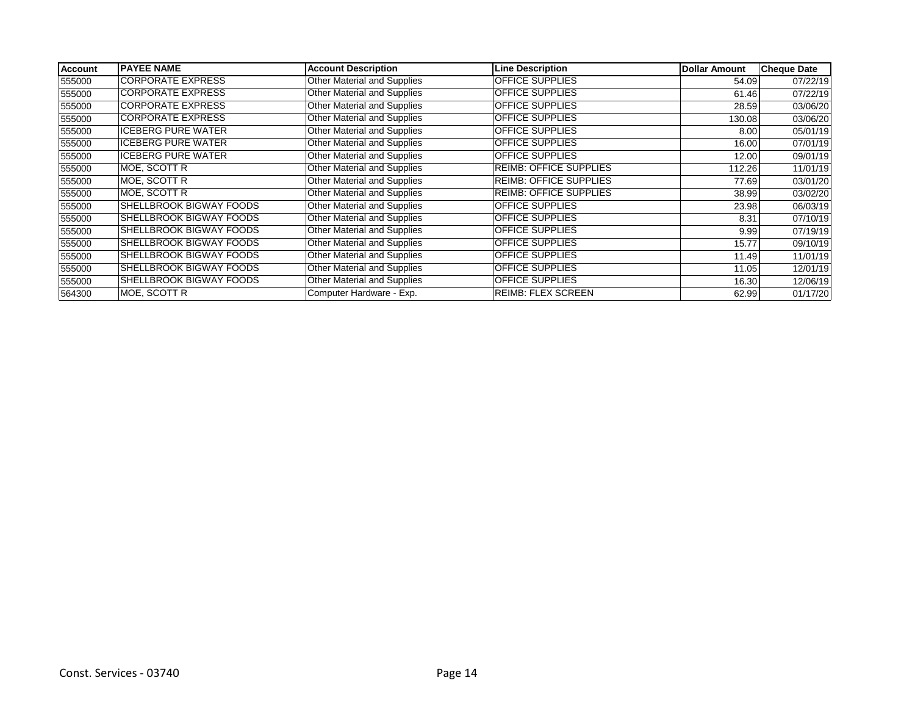| <b>Account</b> | <b>PAYEE NAME</b>              | <b>Account Description</b>         | <b>Line Description</b>       | <b>Dollar Amount</b> | <b>Cheque Date</b> |
|----------------|--------------------------------|------------------------------------|-------------------------------|----------------------|--------------------|
| 555000         | <b>CORPORATE EXPRESS</b>       | <b>Other Material and Supplies</b> | <b>OFFICE SUPPLIES</b>        | 54.09                | 07/22/19           |
| 555000         | <b>CORPORATE EXPRESS</b>       | Other Material and Supplies        | <b>OFFICE SUPPLIES</b>        | 61.46                | 07/22/19           |
| 555000         | <b>CORPORATE EXPRESS</b>       | Other Material and Supplies        | <b>OFFICE SUPPLIES</b>        | 28.59                | 03/06/20           |
| 555000         | <b>CORPORATE EXPRESS</b>       | Other Material and Supplies        | <b>OFFICE SUPPLIES</b>        | 130.08               | 03/06/20           |
| 555000         | <b>ICEBERG PURE WATER</b>      | Other Material and Supplies        | <b>OFFICE SUPPLIES</b>        | 8.00                 | 05/01/19           |
| 555000         | <b>ICEBERG PURE WATER</b>      | Other Material and Supplies        | <b>OFFICE SUPPLIES</b>        | 16.00                | 07/01/19           |
| 555000         | <b>ICEBERG PURE WATER</b>      | Other Material and Supplies        | <b>OFFICE SUPPLIES</b>        | 12.00                | 09/01/19           |
| 555000         | MOE, SCOTT R                   | Other Material and Supplies        | <b>REIMB: OFFICE SUPPLIES</b> | 112.26               | 11/01/19           |
| 555000         | MOE, SCOTT R                   | Other Material and Supplies        | <b>REIMB: OFFICE SUPPLIES</b> | 77.69                | 03/01/20           |
| 555000         | IMOE. SCOTT R                  | Other Material and Supplies        | <b>REIMB: OFFICE SUPPLIES</b> | 38.99                | 03/02/20           |
| 555000         | <b>SHELLBROOK BIGWAY FOODS</b> | Other Material and Supplies        | <b>OFFICE SUPPLIES</b>        | 23.98                | 06/03/19           |
| 555000         | <b>SHELLBROOK BIGWAY FOODS</b> | Other Material and Supplies        | <b>OFFICE SUPPLIES</b>        | 8.31                 | 07/10/19           |
| 555000         | <b>SHELLBROOK BIGWAY FOODS</b> | Other Material and Supplies        | <b>OFFICE SUPPLIES</b>        | 9.99                 | 07/19/19           |
| 555000         | <b>SHELLBROOK BIGWAY FOODS</b> | Other Material and Supplies        | <b>OFFICE SUPPLIES</b>        | 15.77                | 09/10/19           |
| 555000         | <b>SHELLBROOK BIGWAY FOODS</b> | Other Material and Supplies        | <b>OFFICE SUPPLIES</b>        | 11.49                | 11/01/19           |
| 555000         | <b>SHELLBROOK BIGWAY FOODS</b> | Other Material and Supplies        | <b>OFFICE SUPPLIES</b>        | 11.05                | 12/01/19           |
| 555000         | <b>SHELLBROOK BIGWAY FOODS</b> | Other Material and Supplies        | <b>OFFICE SUPPLIES</b>        | 16.30                | 12/06/19           |
| 564300         | MOE, SCOTT R                   | Computer Hardware - Exp.           | <b>REIMB: FLEX SCREEN</b>     | 62.99                | 01/17/20           |